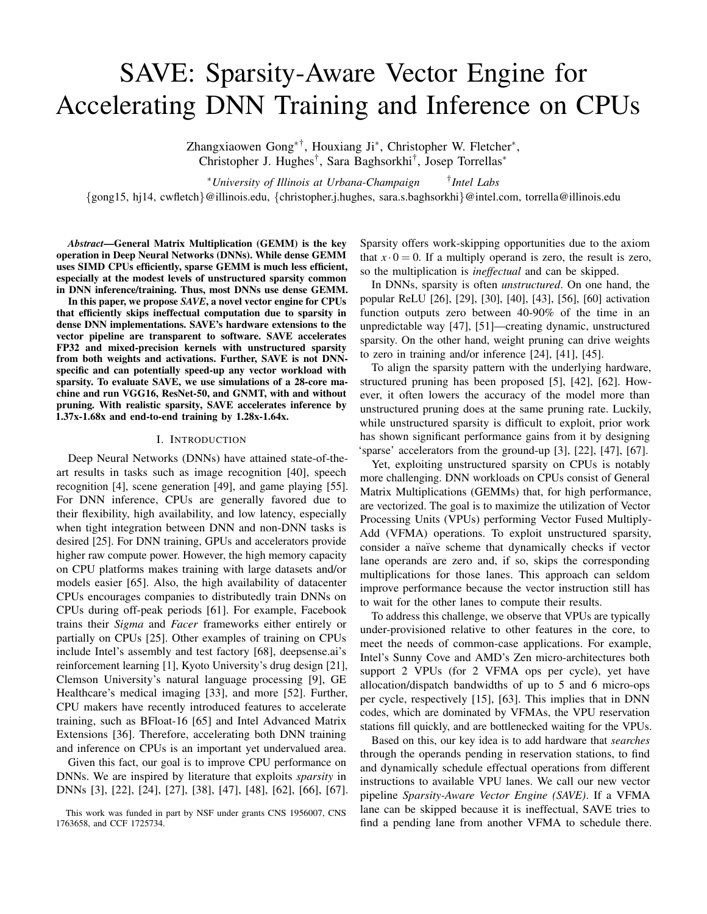# SAVE: Sparsity-Aware Vector Engine for Accelerating DNN Training and Inference on CPUs

Zhangxiaowen Gong<sup>∗†</sup>, Houxiang Ji<sup>∗</sup>, Christopher W. Fletcher<sup>∗</sup>, Christopher J. Hughes† , Sara Baghsorkhi† , Josep Torrellas<sup>∗</sup>

<sup>∗</sup>*University of Illinois at Urbana-Champaign* † *Intel Labs*

{gong15, hj14, cwfletch}@illinois.edu, {christopher.j.hughes, sara.s.baghsorkhi}@intel.com, torrella@illinois.edu

*Abstract*—General Matrix Multiplication (GEMM) is the key operation in Deep Neural Networks (DNNs). While dense GEMM uses SIMD CPUs efficiently, sparse GEMM is much less efficient, especially at the modest levels of unstructured sparsity common in DNN inference/training. Thus, most DNNs use dense GEMM.

In this paper, we propose *SAVE*, a novel vector engine for CPUs that efficiently skips ineffectual computation due to sparsity in dense DNN implementations. SAVE's hardware extensions to the vector pipeline are transparent to software. SAVE accelerates FP32 and mixed-precision kernels with unstructured sparsity from both weights and activations. Further, SAVE is not DNNspecific and can potentially speed-up any vector workload with sparsity. To evaluate SAVE, we use simulations of a 28-core machine and run VGG16, ResNet-50, and GNMT, with and without pruning. With realistic sparsity, SAVE accelerates inference by 1.37x-1.68x and end-to-end training by 1.28x-1.64x.

#### I. INTRODUCTION

Deep Neural Networks (DNNs) have attained state-of-theart results in tasks such as image recognition [40], speech recognition [4], scene generation [49], and game playing [55]. For DNN inference, CPUs are generally favored due to their flexibility, high availability, and low latency, especially when tight integration between DNN and non-DNN tasks is desired [25]. For DNN training, GPUs and accelerators provide higher raw compute power. However, the high memory capacity on CPU platforms makes training with large datasets and/or models easier [65]. Also, the high availability of datacenter CPUs encourages companies to distributedly train DNNs on CPUs during off-peak periods [61]. For example, Facebook trains their *Sigma* and *Facer* frameworks either entirely or partially on CPUs [25]. Other examples of training on CPUs include Intel's assembly and test factory [68], deepsense.ai's reinforcement learning [1], Kyoto University's drug design [21], Clemson University's natural language processing [9], GE Healthcare's medical imaging [33], and more [52]. Further, CPU makers have recently introduced features to accelerate training, such as BFloat-16 [65] and Intel Advanced Matrix Extensions [36]. Therefore, accelerating both DNN training and inference on CPUs is an important yet undervalued area.

Given this fact, our goal is to improve CPU performance on DNNs. We are inspired by literature that exploits *sparsity* in DNNs [3], [22], [24], [27], [38], [47], [48], [62], [66], [67]. Sparsity offers work-skipping opportunities due to the axiom that  $x \cdot 0 = 0$ . If a multiply operand is zero, the result is zero, so the multiplication is *ineffectual* and can be skipped.

In DNNs, sparsity is often *unstructured*. On one hand, the popular ReLU [26], [29], [30], [40], [43], [56], [60] activation function outputs zero between 40-90% of the time in an unpredictable way [47], [51]—creating dynamic, unstructured sparsity. On the other hand, weight pruning can drive weights to zero in training and/or inference [24], [41], [45].

To align the sparsity pattern with the underlying hardware, structured pruning has been proposed [5], [42], [62]. However, it often lowers the accuracy of the model more than unstructured pruning does at the same pruning rate. Luckily, while unstructured sparsity is difficult to exploit, prior work has shown significant performance gains from it by designing 'sparse' accelerators from the ground-up [3], [22], [47], [67].

Yet, exploiting unstructured sparsity on CPUs is notably more challenging. DNN workloads on CPUs consist of General Matrix Multiplications (GEMMs) that, for high performance, are vectorized. The goal is to maximize the utilization of Vector Processing Units (VPUs) performing Vector Fused Multiply-Add (VFMA) operations. To exploit unstructured sparsity, consider a naïve scheme that dynamically checks if vector lane operands are zero and, if so, skips the corresponding multiplications for those lanes. This approach can seldom improve performance because the vector instruction still has to wait for the other lanes to compute their results.

To address this challenge, we observe that VPUs are typically under-provisioned relative to other features in the core, to meet the needs of common-case applications. For example, Intel's Sunny Cove and AMD's Zen micro-architectures both support 2 VPUs (for 2 VFMA ops per cycle), yet have allocation/dispatch bandwidths of up to 5 and 6 micro-ops per cycle, respectively [15], [63]. This implies that in DNN codes, which are dominated by VFMAs, the VPU reservation stations fill quickly, and are bottlenecked waiting for the VPUs.

Based on this, our key idea is to add hardware that *searches* through the operands pending in reservation stations, to find and dynamically schedule effectual operations from different instructions to available VPU lanes. We call our new vector pipeline *Sparsity-Aware Vector Engine (SAVE)*. If a VFMA lane can be skipped because it is ineffectual, SAVE tries to find a pending lane from another VFMA to schedule there.

This work was funded in part by NSF under grants CNS 1956007, CNS 1763658, and CCF 1725734.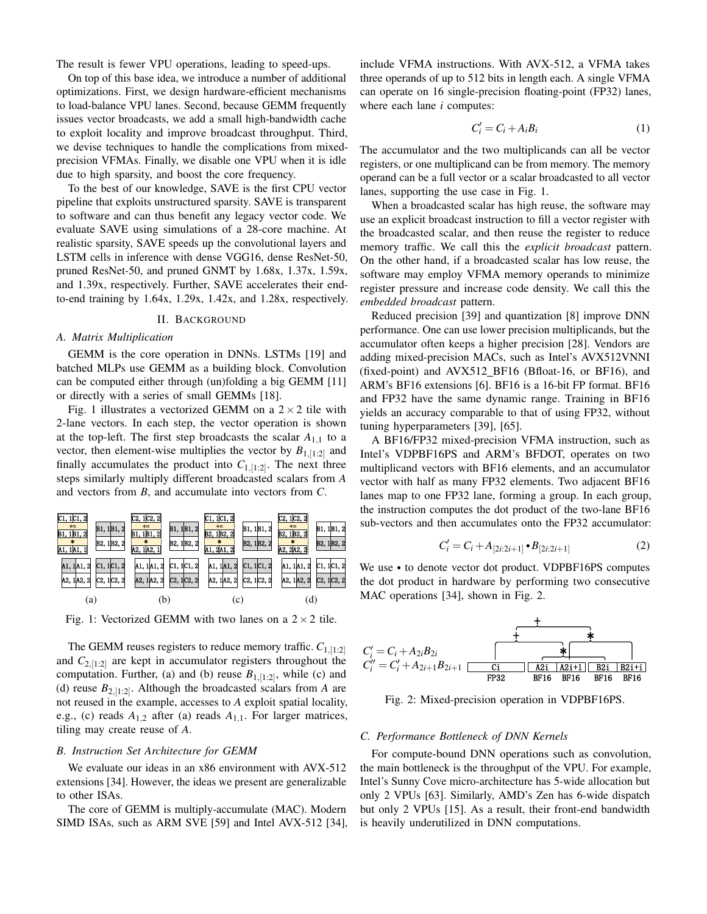The result is fewer VPU operations, leading to speed-ups.

On top of this base idea, we introduce a number of additional optimizations. First, we design hardware-efficient mechanisms to load-balance VPU lanes. Second, because GEMM frequently issues vector broadcasts, we add a small high-bandwidth cache to exploit locality and improve broadcast throughput. Third, we devise techniques to handle the complications from mixedprecision VFMAs. Finally, we disable one VPU when it is idle due to high sparsity, and boost the core frequency.

To the best of our knowledge, SAVE is the first CPU vector pipeline that exploits unstructured sparsity. SAVE is transparent to software and can thus benefit any legacy vector code. We evaluate SAVE using simulations of a 28-core machine. At realistic sparsity, SAVE speeds up the convolutional layers and LSTM cells in inference with dense VGG16, dense ResNet-50, pruned ResNet-50, and pruned GNMT by 1.68x, 1.37x, 1.59x, and 1.39x, respectively. Further, SAVE accelerates their endto-end training by 1.64x, 1.29x, 1.42x, and 1.28x, respectively.

## II. BACKGROUND

## *A. Matrix Multiplication*

GEMM is the core operation in DNNs. LSTMs [19] and batched MLPs use GEMM as a building block. Convolution can be computed either through (un)folding a big GEMM [11] or directly with a series of small GEMMs [18].

Fig. 1 illustrates a vectorized GEMM on a  $2 \times 2$  tile with 2-lane vectors. In each step, the vector operation is shown at the top-left. The first step broadcasts the scalar  $A_{1,1}$  to a vector, then element-wise multiplies the vector by  $B_{1,[1:2]}$  and finally accumulates the product into  $C_{1,[1:2]}$ . The next three steps similarly multiply different broadcasted scalars from *A* and vectors from *B*, and accumulate into vectors from *C*.



Fig. 1: Vectorized GEMM with two lanes on a  $2 \times 2$  tile.

The GEMM reuses registers to reduce memory traffic.  $C_{1,[1:2]}$ and  $C_{2,[1:2]}$  are kept in accumulator registers throughout the computation. Further, (a) and (b) reuse  $B_{1,[1:2]}$ , while (c) and (d) reuse  $B_{2,[1:2]}$ . Although the broadcasted scalars from *A* are not reused in the example, accesses to *A* exploit spatial locality, e.g., (c) reads  $A_{1,2}$  after (a) reads  $A_{1,1}$ . For larger matrices, tiling may create reuse of *A*.

# *B. Instruction Set Architecture for GEMM*

We evaluate our ideas in an x86 environment with AVX-512 extensions [34]. However, the ideas we present are generalizable to other ISAs.

The core of GEMM is multiply-accumulate (MAC). Modern SIMD ISAs, such as ARM SVE [59] and Intel AVX-512 [34], include VFMA instructions. With AVX-512, a VFMA takes three operands of up to 512 bits in length each. A single VFMA can operate on 16 single-precision floating-point (FP32) lanes, where each lane *i* computes:

$$
C_i' = C_i + A_i B_i \tag{1}
$$

The accumulator and the two multiplicands can all be vector registers, or one multiplicand can be from memory. The memory operand can be a full vector or a scalar broadcasted to all vector lanes, supporting the use case in Fig. 1.

When a broadcasted scalar has high reuse, the software may use an explicit broadcast instruction to fill a vector register with the broadcasted scalar, and then reuse the register to reduce memory traffic. We call this the *explicit broadcast* pattern. On the other hand, if a broadcasted scalar has low reuse, the software may employ VFMA memory operands to minimize register pressure and increase code density. We call this the *embedded broadcast* pattern.

Reduced precision [39] and quantization [8] improve DNN performance. One can use lower precision multiplicands, but the accumulator often keeps a higher precision [28]. Vendors are adding mixed-precision MACs, such as Intel's AVX512VNNI (fixed-point) and AVX512 BF16 (Bfloat-16, or BF16), and ARM's BF16 extensions [6]. BF16 is a 16-bit FP format. BF16 and FP32 have the same dynamic range. Training in BF16 yields an accuracy comparable to that of using FP32, without tuning hyperparameters [39], [65].

A BF16/FP32 mixed-precision VFMA instruction, such as Intel's VDPBF16PS and ARM's BFDOT, operates on two multiplicand vectors with BF16 elements, and an accumulator vector with half as many FP32 elements. Two adjacent BF16 lanes map to one FP32 lane, forming a group. In each group, the instruction computes the dot product of the two-lane BF16 sub-vectors and then accumulates onto the FP32 accumulator:

$$
C'_{i} = C_{i} + A_{[2i:2i+1]} \cdot B_{[2i:2i+1]}
$$
 (2)

We use • to denote vector dot product. VDPBF16PS computes the dot product in hardware by performing two consecutive MAC operations [34], shown in Fig. 2.



Fig. 2: Mixed-precision operation in VDPBF16PS.

## *C. Performance Bottleneck of DNN Kernels*

For compute-bound DNN operations such as convolution, the main bottleneck is the throughput of the VPU. For example, Intel's Sunny Cove micro-architecture has 5-wide allocation but only 2 VPUs [63]. Similarly, AMD's Zen has 6-wide dispatch but only 2 VPUs [15]. As a result, their front-end bandwidth is heavily underutilized in DNN computations.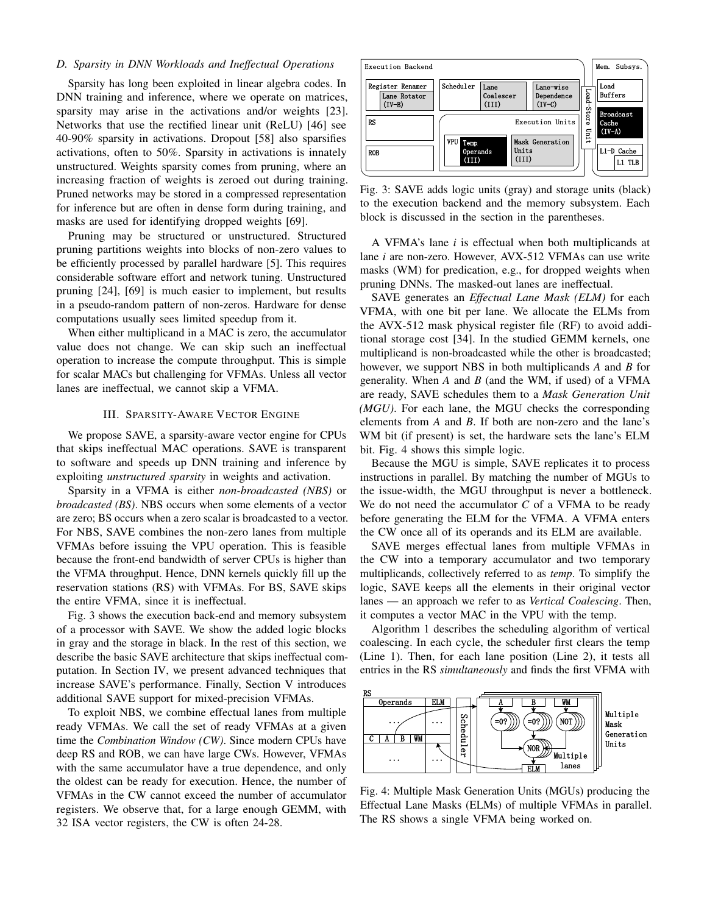# *D. Sparsity in DNN Workloads and Ineffectual Operations*

Sparsity has long been exploited in linear algebra codes. In DNN training and inference, where we operate on matrices, sparsity may arise in the activations and/or weights [23]. Networks that use the rectified linear unit (ReLU) [46] see 40-90% sparsity in activations. Dropout [58] also sparsifies activations, often to 50%. Sparsity in activations is innately unstructured. Weights sparsity comes from pruning, where an increasing fraction of weights is zeroed out during training. Pruned networks may be stored in a compressed representation for inference but are often in dense form during training, and masks are used for identifying dropped weights [69].

Pruning may be structured or unstructured. Structured pruning partitions weights into blocks of non-zero values to be efficiently processed by parallel hardware [5]. This requires considerable software effort and network tuning. Unstructured pruning [24], [69] is much easier to implement, but results in a pseudo-random pattern of non-zeros. Hardware for dense computations usually sees limited speedup from it.

When either multiplicand in a MAC is zero, the accumulator value does not change. We can skip such an ineffectual operation to increase the compute throughput. This is simple for scalar MACs but challenging for VFMAs. Unless all vector lanes are ineffectual, we cannot skip a VFMA.

## III. SPARSITY-AWARE VECTOR ENGINE

We propose SAVE, a sparsity-aware vector engine for CPUs that skips ineffectual MAC operations. SAVE is transparent to software and speeds up DNN training and inference by exploiting *unstructured sparsity* in weights and activation.

Sparsity in a VFMA is either *non-broadcasted (NBS)* or *broadcasted (BS)*. NBS occurs when some elements of a vector are zero; BS occurs when a zero scalar is broadcasted to a vector. For NBS, SAVE combines the non-zero lanes from multiple VFMAs before issuing the VPU operation. This is feasible because the front-end bandwidth of server CPUs is higher than the VFMA throughput. Hence, DNN kernels quickly fill up the reservation stations (RS) with VFMAs. For BS, SAVE skips the entire VFMA, since it is ineffectual.

Fig. 3 shows the execution back-end and memory subsystem of a processor with SAVE. We show the added logic blocks in gray and the storage in black. In the rest of this section, we describe the basic SAVE architecture that skips ineffectual computation. In Section IV, we present advanced techniques that increase SAVE's performance. Finally, Section V introduces additional SAVE support for mixed-precision VFMAs.

To exploit NBS, we combine effectual lanes from multiple ready VFMAs. We call the set of ready VFMAs at a given time the *Combination Window (CW)*. Since modern CPUs have deep RS and ROB, we can have large CWs. However, VFMAs with the same accumulator have a true dependence, and only the oldest can be ready for execution. Hence, the number of VFMAs in the CW cannot exceed the number of accumulator registers. We observe that, for a large enough GEMM, with 32 ISA vector registers, the CW is often 24-28.



Fig. 3: SAVE adds logic units (gray) and storage units (black) to the execution backend and the memory subsystem. Each block is discussed in the section in the parentheses.

A VFMA's lane *i* is effectual when both multiplicands at lane *i* are non-zero. However, AVX-512 VFMAs can use write masks (WM) for predication, e.g., for dropped weights when pruning DNNs. The masked-out lanes are ineffectual.

SAVE generates an *Effectual Lane Mask (ELM)* for each VFMA, with one bit per lane. We allocate the ELMs from the AVX-512 mask physical register file (RF) to avoid additional storage cost [34]. In the studied GEMM kernels, one multiplicand is non-broadcasted while the other is broadcasted; however, we support NBS in both multiplicands *A* and *B* for generality. When *A* and *B* (and the WM, if used) of a VFMA are ready, SAVE schedules them to a *Mask Generation Unit (MGU)*. For each lane, the MGU checks the corresponding elements from *A* and *B*. If both are non-zero and the lane's WM bit (if present) is set, the hardware sets the lane's ELM bit. Fig. 4 shows this simple logic.

Because the MGU is simple, SAVE replicates it to process instructions in parallel. By matching the number of MGUs to the issue-width, the MGU throughput is never a bottleneck. We do not need the accumulator *C* of a VFMA to be ready before generating the ELM for the VFMA. A VFMA enters the CW once all of its operands and its ELM are available.

SAVE merges effectual lanes from multiple VFMAs in the CW into a temporary accumulator and two temporary multiplicands, collectively referred to as *temp*. To simplify the logic, SAVE keeps all the elements in their original vector lanes — an approach we refer to as *Vertical Coalescing*. Then, it computes a vector MAC in the VPU with the temp.

Algorithm 1 describes the scheduling algorithm of vertical coalescing. In each cycle, the scheduler first clears the temp (Line 1). Then, for each lane position (Line 2), it tests all entries in the RS *simultaneously* and finds the first VFMA with



Fig. 4: Multiple Mask Generation Units (MGUs) producing the Effectual Lane Masks (ELMs) of multiple VFMAs in parallel. The RS shows a single VFMA being worked on.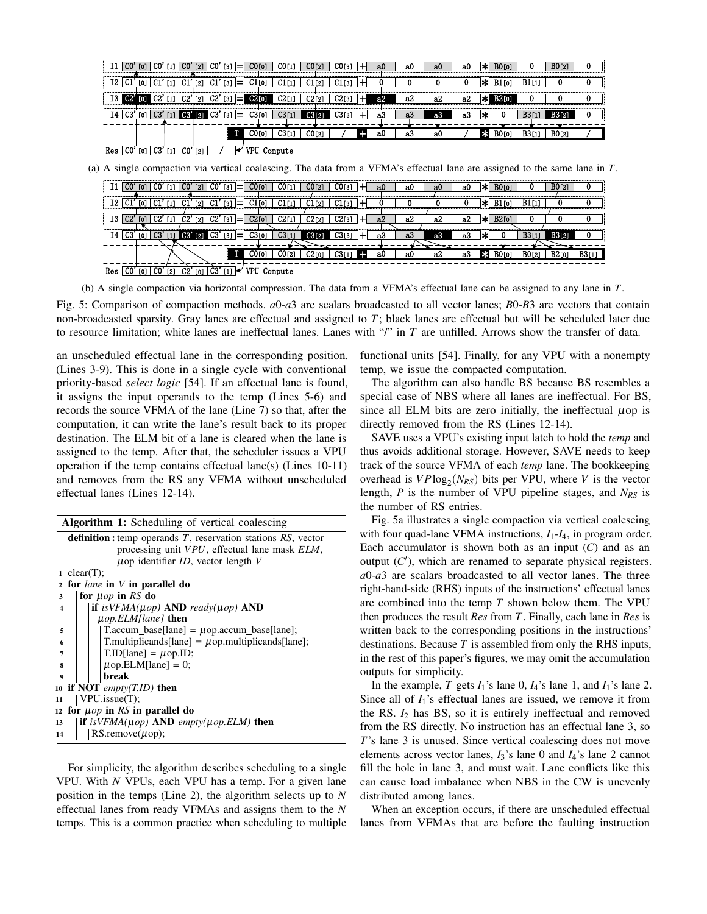|     |     |     |   |                |                              |  | CO <sub>[0]</sub>   |         |                   | CO [3] | au  | aU | a0 | av | ıж |                   |       | <b>BOL2</b>  |  |
|-----|-----|-----|---|----------------|------------------------------|--|---------------------|---------|-------------------|--------|-----|----|----|----|----|-------------------|-------|--------------|--|
|     |     |     |   |                | $\left\lceil 2 \right\rceil$ |  | $C1$ <sup>[0]</sup> |         |                   | C1 [3] |     |    |    |    | ×  | LO.               |       |              |  |
|     |     |     |   |                | $\left[2\right]$             |  |                     |         |                   |        | az. | аż | a2 | a2 |    |                   |       |              |  |
|     |     |     |   |                |                              |  |                     |         |                   |        | a.  | ಒ  | а3 | a3 |    |                   | B3 I  |              |  |
|     | .   |     | . |                |                              |  |                     | .       |                   |        |     |    |    |    |    |                   |       |              |  |
|     |     |     |   |                |                              |  |                     |         | CO <sub>[2]</sub> |        | -a0 | a3 | a0 |    | ∗  | BO <sub>[0]</sub> | B3[1] | <b>BO[2]</b> |  |
| Kes | [0] | C3' |   | $\overline{C}$ | $\Gamma$ 21                  |  | VPU                 | Compute |                   |        |     |    |    |    |    |                   |       |              |  |

(a) A single compaction via vertical coalescing. The data from a VFMA's effectual lane are assigned to the same lane in *T*.

|     |       |     |                 |                                                                                                                                                                                    | CO.             |             | CO' | $\lceil 3 \rceil$ |    |            | CO <sub>[1]</sub> | CO121  | С0гз1           | au  | аU | av<br> | a0 | × |           | B0 <sub>12</sub> |  |
|-----|-------|-----|-----------------|------------------------------------------------------------------------------------------------------------------------------------------------------------------------------------|-----------------|-------------|-----|-------------------|----|------------|-------------------|--------|-----------------|-----|----|--------|----|---|-----------|------------------|--|
| Ι2  |       |     |                 |                                                                                                                                                                                    |                 |             |     | - [3]             |    |            |                   | C1 ro1 | $^{\circ}1$ [3] |     |    |        |    |   |           |                  |  |
| I3  |       |     |                 |                                                                                                                                                                                    | . ലാ            | $\sqrt{21}$ | C2  | $[3]$             |    |            |                   | 0.911  | C2rs            | .   | a2 | a2     | а2 |   |           |                  |  |
| 14  | , C3' | [0] | C3              |                                                                                                                                                                                    | CO <sup>2</sup> | 121         | C3' | $\lceil 3 \rceil$ | l= | C3[0]      | .                 |        | СЗГз            | aЗ  | a3 | 83     | a3 |   | <br>B3[1] |                  |  |
|     |       |     |                 |                                                                                                                                                                                    |                 |             |     |                   |    |            | CO [2]            | ാര     | 22.1            | -a0 | a0 | a2     | а3 |   | B012      | B2r              |  |
| Res | CO.   | [0] | CO <sup>'</sup> | $[2] % \includegraphics[width=0.9\columnwidth]{figures/fig_2.pdf} \caption{The graph $\mathcal{N}_1$ is a function of the input and the number of input regions.} \label{fig:1} %$ | C2'             | <b>[0]</b>  | C3' |                   |    | <b>VPU</b> | Compute           |        |                 |     |    |        |    |   |           |                  |  |

(b) A single compaction via horizontal compression. The data from a VFMA's effectual lane can be assigned to any lane in *T*.

Fig. 5: Comparison of compaction methods. *a*0-*a*3 are scalars broadcasted to all vector lanes; *B*0-*B*3 are vectors that contain non-broadcasted sparsity. Gray lanes are effectual and assigned to *T*; black lanes are effectual but will be scheduled later due to resource limitation; white lanes are ineffectual lanes. Lanes with "/" in *T* are unfilled. Arrows show the transfer of data.

an unscheduled effectual lane in the corresponding position. (Lines 3-9). This is done in a single cycle with conventional priority-based *select logic* [54]. If an effectual lane is found, it assigns the input operands to the temp (Lines 5-6) and records the source VFMA of the lane (Line 7) so that, after the computation, it can write the lane's result back to its proper destination. The ELM bit of a lane is cleared when the lane is assigned to the temp. After that, the scheduler issues a VPU operation if the temp contains effectual lane(s) (Lines 10-11) and removes from the RS any VFMA without unscheduled effectual lanes (Lines 12-14).

|                         | <b>Algorithm 1:</b> Scheduling of vertical coalescing                     |
|-------------------------|---------------------------------------------------------------------------|
|                         | <b>definition:</b> temp operands $T$ , reservation stations $RS$ , vector |
|                         | processing unit VPU, effectual lane mask ELM,                             |
|                         | $\mu$ op identifier <i>ID</i> , vector length V                           |
|                         | 1 clear(T);                                                               |
|                         | 2 for <i>lane</i> in <i>V</i> in parallel do                              |
| 3                       | for $\mu$ op in RS do                                                     |
| $\overline{\mathbf{4}}$ | if is $VFMA(\mu op)$ AND ready( $\mu op$ ) AND                            |
|                         | $\mu$ op.ELM[lane] then                                                   |
| 5                       | $T\text{.} \text{accum\_base}$ [lane] = $\mu$ op.accum_base[lane];        |
| 6                       | $T.$ multiplicands[lane] = $\mu$ op.multiplicands[lane];                  |
| 7                       | $T.ID[lane] = \mu op.ID;$                                                 |
| 8                       | $\mu$ op.ELM[lane] = 0;                                                   |
| 9                       | break                                                                     |
|                         | 10 if NOT <i>empty</i> $(T.ID)$ then                                      |
| 11                      | VPU.issue(T);                                                             |
|                         | 12 for $\mu$ op in RS in parallel do                                      |
| 13                      | if is $VFMA(\mu op)$ AND empty( $\mu op.ELM$ ) then                       |
| 14                      | $RS$ .remove $(\mu$ op);                                                  |

For simplicity, the algorithm describes scheduling to a single VPU. With *N* VPUs, each VPU has a temp. For a given lane position in the temps (Line 2), the algorithm selects up to *N* effectual lanes from ready VFMAs and assigns them to the *N* temps. This is a common practice when scheduling to multiple functional units [54]. Finally, for any VPU with a nonempty temp, we issue the compacted computation.

The algorithm can also handle BS because BS resembles a special case of NBS where all lanes are ineffectual. For BS, since all ELM bits are zero initially, the ineffectual  $\mu$ op is directly removed from the RS (Lines 12-14).

SAVE uses a VPU's existing input latch to hold the *temp* and thus avoids additional storage. However, SAVE needs to keep track of the source VFMA of each *temp* lane. The bookkeeping overhead is  $VP \log_2(N_{RS})$  bits per VPU, where *V* is the vector length, *P* is the number of VPU pipeline stages, and *NRS* is the number of RS entries.

Fig. 5a illustrates a single compaction via vertical coalescing with four quad-lane VFMA instructions,  $I_1$ - $I_4$ , in program order. Each accumulator is shown both as an input (*C*) and as an output  $(C')$ , which are renamed to separate physical registers. *a*0-*a*3 are scalars broadcasted to all vector lanes. The three right-hand-side (RHS) inputs of the instructions' effectual lanes are combined into the temp *T* shown below them. The VPU then produces the result *Res* from *T*. Finally, each lane in *Res* is written back to the corresponding positions in the instructions' destinations. Because *T* is assembled from only the RHS inputs, in the rest of this paper's figures, we may omit the accumulation outputs for simplicity.

In the example,  $T$  gets  $I_1$ 's lane 0,  $I_4$ 's lane 1, and  $I_1$ 's lane 2. Since all of  $I_1$ 's effectual lanes are issued, we remove it from the RS. *I*<sup>2</sup> has BS, so it is entirely ineffectual and removed from the RS directly. No instruction has an effectual lane 3, so *T*'s lane 3 is unused. Since vertical coalescing does not move elements across vector lanes, *I*3's lane 0 and *I*4's lane 2 cannot fill the hole in lane 3, and must wait. Lane conflicts like this can cause load imbalance when NBS in the CW is unevenly distributed among lanes.

When an exception occurs, if there are unscheduled effectual lanes from VFMAs that are before the faulting instruction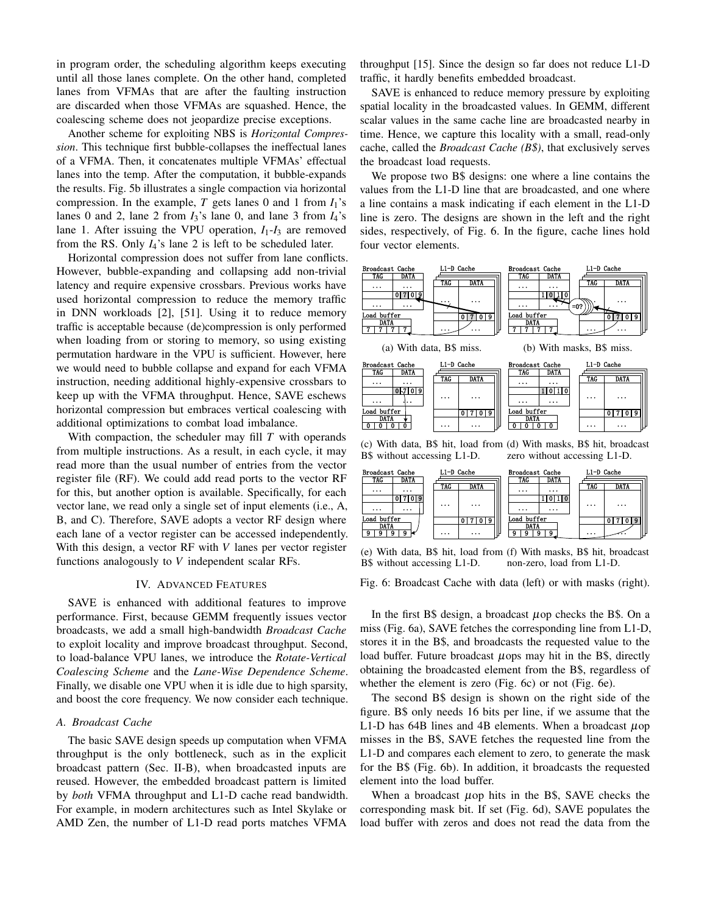in program order, the scheduling algorithm keeps executing until all those lanes complete. On the other hand, completed lanes from VFMAs that are after the faulting instruction are discarded when those VFMAs are squashed. Hence, the coalescing scheme does not jeopardize precise exceptions.

Another scheme for exploiting NBS is *Horizontal Compression*. This technique first bubble-collapses the ineffectual lanes of a VFMA. Then, it concatenates multiple VFMAs' effectual lanes into the temp. After the computation, it bubble-expands the results. Fig. 5b illustrates a single compaction via horizontal compression. In the example,  $T$  gets lanes 0 and 1 from  $I_1$ 's lanes 0 and 2, lane 2 from  $I_3$ 's lane 0, and lane 3 from  $I_4$ 's lane 1. After issuing the VPU operation,  $I_1-I_3$  are removed from the RS. Only *I*4's lane 2 is left to be scheduled later.

Horizontal compression does not suffer from lane conflicts. However, bubble-expanding and collapsing add non-trivial latency and require expensive crossbars. Previous works have used horizontal compression to reduce the memory traffic in DNN workloads [2], [51]. Using it to reduce memory traffic is acceptable because (de)compression is only performed when loading from or storing to memory, so using existing permutation hardware in the VPU is sufficient. However, here we would need to bubble collapse and expand for each VFMA instruction, needing additional highly-expensive crossbars to keep up with the VFMA throughput. Hence, SAVE eschews horizontal compression but embraces vertical coalescing with additional optimizations to combat load imbalance.

With compaction, the scheduler may fill *T* with operands from multiple instructions. As a result, in each cycle, it may read more than the usual number of entries from the vector register file (RF). We could add read ports to the vector RF for this, but another option is available. Specifically, for each vector lane, we read only a single set of input elements (i.e., A, B, and C). Therefore, SAVE adopts a vector RF design where each lane of a vector register can be accessed independently. With this design, a vector RF with *V* lanes per vector register functions analogously to *V* independent scalar RFs.

# IV. ADVANCED FEATURES

SAVE is enhanced with additional features to improve performance. First, because GEMM frequently issues vector broadcasts, we add a small high-bandwidth *Broadcast Cache* to exploit locality and improve broadcast throughput. Second, to load-balance VPU lanes, we introduce the *Rotate-Vertical Coalescing Scheme* and the *Lane-Wise Dependence Scheme*. Finally, we disable one VPU when it is idle due to high sparsity, and boost the core frequency. We now consider each technique.

# *A. Broadcast Cache*

The basic SAVE design speeds up computation when VFMA throughput is the only bottleneck, such as in the explicit broadcast pattern (Sec. II-B), when broadcasted inputs are reused. However, the embedded broadcast pattern is limited by *both* VFMA throughput and L1-D cache read bandwidth. For example, in modern architectures such as Intel Skylake or AMD Zen, the number of L1-D read ports matches VFMA

throughput [15]. Since the design so far does not reduce L1-D traffic, it hardly benefits embedded broadcast.

SAVE is enhanced to reduce memory pressure by exploiting spatial locality in the broadcasted values. In GEMM, different scalar values in the same cache line are broadcasted nearby in time. Hence, we capture this locality with a small, read-only cache, called the *Broadcast Cache (B\$)*, that exclusively serves the broadcast load requests.

We propose two B\$ designs: one where a line contains the values from the L1-D line that are broadcasted, and one where a line contains a mask indicating if each element in the L1-D line is zero. The designs are shown in the left and the right sides, respectively, of Fig. 6. In the figure, cache lines hold four vector elements.



B\$ without accessing L1-D. zero without accessing L1-D.



(e) With data, B\$ hit, load from (f) With masks, B\$ hit, broadcast B\$ without accessing L1-D. non-zero, load from L1-D.

Fig. 6: Broadcast Cache with data (left) or with masks (right).

In the first B\$ design, a broadcast  $\mu$  op checks the B\$. On a miss (Fig. 6a), SAVE fetches the corresponding line from L1-D, stores it in the B\$, and broadcasts the requested value to the load buffer. Future broadcast  $\mu$ ops may hit in the B\$, directly obtaining the broadcasted element from the B\$, regardless of whether the element is zero (Fig. 6c) or not (Fig. 6e).

The second B\$ design is shown on the right side of the figure. B\$ only needs 16 bits per line, if we assume that the L1-D has 64B lines and 4B elements. When a broadcast  $\mu$ op misses in the B\$, SAVE fetches the requested line from the L1-D and compares each element to zero, to generate the mask for the B\$ (Fig. 6b). In addition, it broadcasts the requested element into the load buffer.

When a broadcast  $\mu$ op hits in the B\$, SAVE checks the corresponding mask bit. If set (Fig. 6d), SAVE populates the load buffer with zeros and does not read the data from the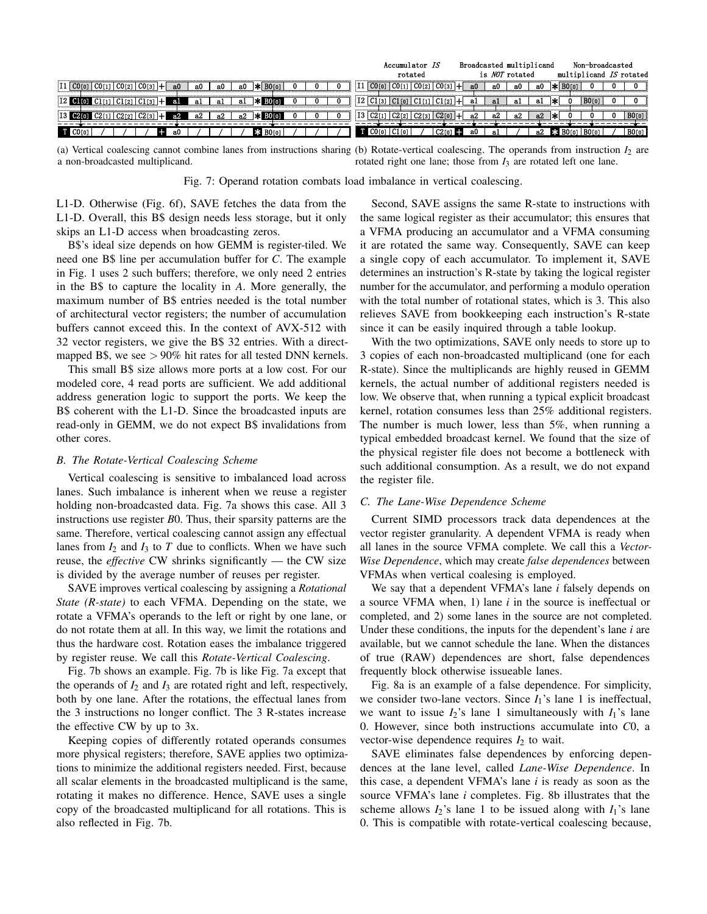|                                                                                                                                                                       | Accumulator IS                            | Broadcasted multiplicand | Non-broadcasted                      |
|-----------------------------------------------------------------------------------------------------------------------------------------------------------------------|-------------------------------------------|--------------------------|--------------------------------------|
|                                                                                                                                                                       | rotated                                   | is <i>NOT</i> rotated    | multiplicand IS rotated              |
| $ I1 $ CO[0] CO[1] CO[2] CO[3] +<br>$ \mathbf{\ast} $ BOrol<br>a0<br>a0.<br>a0<br>-a0                                                                                 | .   CO[0]   CO[1]   CO[2]   CO[3]         | а0<br>-a0<br>аO.<br>яΩ   | BO <sub>IO1</sub>                    |
| $ 12 \tbinom{1}{0} C1_{11}  C1_{2}  C1_{3}  +$<br>-a1<br>аl<br>-al                                                                                                    | 12 C1[3 C1[0 C1[1 C1[2]]]                 | яl<br>-al<br>al          |                                      |
| $\begin{bmatrix} 13 & 02 & 0 \end{bmatrix}$ $\begin{bmatrix} 02 & 11 & 02 & 2 \end{bmatrix}$ $\begin{bmatrix} 02 & 13 & 0 \end{bmatrix}$ +<br>- a2<br>a2<br>.ค2<br>а2 | $ 13 C2$ [1]                              | а2<br>a2<br>аż           | BO[0]                                |
| E3 BOT01 I<br>-a0<br>ш                                                                                                                                                | $CO[0]$ $Cl[0]$<br>$C2[0]$ $\blacksquare$ | - a0<br>a2<br>-al        | BO[0]<br><b>E3</b> $B0[0]   B0[0]  $ |

(a) Vertical coalescing cannot combine lanes from instructions sharing (b) Rotate-vertical coalescing. The operands from instruction  $I_2$  are a non-broadcasted multiplicand. rotated right one lane; those from  $I_3$  are rotated left one lane.

Fig. 7: Operand rotation combats load imbalance in vertical coalescing.

L1-D. Otherwise (Fig. 6f), SAVE fetches the data from the L1-D. Overall, this B\$ design needs less storage, but it only skips an L1-D access when broadcasting zeros.

B\$'s ideal size depends on how GEMM is register-tiled. We need one B\$ line per accumulation buffer for *C*. The example in Fig. 1 uses 2 such buffers; therefore, we only need 2 entries in the B\$ to capture the locality in *A*. More generally, the maximum number of B\$ entries needed is the total number of architectural vector registers; the number of accumulation buffers cannot exceed this. In the context of AVX-512 with 32 vector registers, we give the B\$ 32 entries. With a directmapped B\$, we see  $> 90\%$  hit rates for all tested DNN kernels.

This small B\$ size allows more ports at a low cost. For our modeled core, 4 read ports are sufficient. We add additional address generation logic to support the ports. We keep the B\$ coherent with the L1-D. Since the broadcasted inputs are read-only in GEMM, we do not expect B\$ invalidations from other cores.

# *B. The Rotate-Vertical Coalescing Scheme*

Vertical coalescing is sensitive to imbalanced load across lanes. Such imbalance is inherent when we reuse a register holding non-broadcasted data. Fig. 7a shows this case. All 3 instructions use register *B*0. Thus, their sparsity patterns are the same. Therefore, vertical coalescing cannot assign any effectual lanes from  $I_2$  and  $I_3$  to  $T$  due to conflicts. When we have such reuse, the *effective* CW shrinks significantly — the CW size is divided by the average number of reuses per register.

SAVE improves vertical coalescing by assigning a *Rotational State (R-state)* to each VFMA. Depending on the state, we rotate a VFMA's operands to the left or right by one lane, or do not rotate them at all. In this way, we limit the rotations and thus the hardware cost. Rotation eases the imbalance triggered by register reuse. We call this *Rotate-Vertical Coalescing*.

Fig. 7b shows an example. Fig. 7b is like Fig. 7a except that the operands of  $I_2$  and  $I_3$  are rotated right and left, respectively, both by one lane. After the rotations, the effectual lanes from the 3 instructions no longer conflict. The 3 R-states increase the effective CW by up to 3x.

Keeping copies of differently rotated operands consumes more physical registers; therefore, SAVE applies two optimizations to minimize the additional registers needed. First, because all scalar elements in the broadcasted multiplicand is the same, rotating it makes no difference. Hence, SAVE uses a single copy of the broadcasted multiplicand for all rotations. This is also reflected in Fig. 7b.

Second, SAVE assigns the same R-state to instructions with the same logical register as their accumulator; this ensures that a VFMA producing an accumulator and a VFMA consuming it are rotated the same way. Consequently, SAVE can keep a single copy of each accumulator. To implement it, SAVE determines an instruction's R-state by taking the logical register number for the accumulator, and performing a modulo operation with the total number of rotational states, which is 3. This also relieves SAVE from bookkeeping each instruction's R-state since it can be easily inquired through a table lookup.

With the two optimizations, SAVE only needs to store up to 3 copies of each non-broadcasted multiplicand (one for each R-state). Since the multiplicands are highly reused in GEMM kernels, the actual number of additional registers needed is low. We observe that, when running a typical explicit broadcast kernel, rotation consumes less than 25% additional registers. The number is much lower, less than 5%, when running a typical embedded broadcast kernel. We found that the size of the physical register file does not become a bottleneck with such additional consumption. As a result, we do not expand the register file.

## *C. The Lane-Wise Dependence Scheme*

Current SIMD processors track data dependences at the vector register granularity. A dependent VFMA is ready when all lanes in the source VFMA complete. We call this a *Vector-Wise Dependence*, which may create *false dependences* between VFMAs when vertical coalesing is employed.

We say that a dependent VFMA's lane *i* falsely depends on a source VFMA when, 1) lane *i* in the source is ineffectual or completed, and 2) some lanes in the source are not completed. Under these conditions, the inputs for the dependent's lane *i* are available, but we cannot schedule the lane. When the distances of true (RAW) dependences are short, false dependences frequently block otherwise issueable lanes.

Fig. 8a is an example of a false dependence. For simplicity, we consider two-lane vectors. Since  $I_1$ 's lane 1 is ineffectual, we want to issue  $I_2$ 's lane 1 simultaneously with  $I_1$ 's lane 0. However, since both instructions accumulate into *C*0, a vector-wise dependence requires  $I_2$  to wait.

SAVE eliminates false dependences by enforcing dependences at the lane level, called *Lane-Wise Dependence*. In this case, a dependent VFMA's lane *i* is ready as soon as the source VFMA's lane *i* completes. Fig. 8b illustrates that the scheme allows  $I_2$ 's lane 1 to be issued along with  $I_1$ 's lane 0. This is compatible with rotate-vertical coalescing because,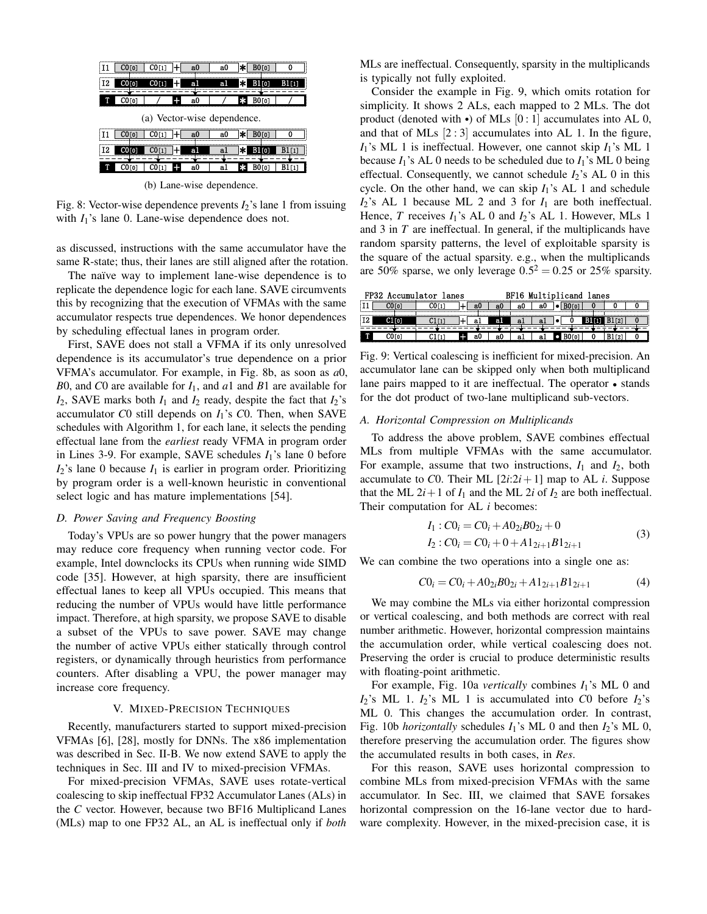| i T 1 | CO[0] | CO[1]                       |       | a0 | a0 | ≭∣     | BO[0]             |        |
|-------|-------|-----------------------------|-------|----|----|--------|-------------------|--------|
| i 12  | CO[0] | CO[1]                       |       | al | al | ١ж     | B1[0]             | B1111  |
| т     | CO[0] |                             | 47    | a0 |    | Ьk.    | BO <sub>[0]</sub> |        |
|       |       |                             |       |    |    |        |                   |        |
|       |       |                             |       |    |    |        |                   |        |
|       |       | (a) Vector-wise dependence. |       |    |    |        |                   |        |
|       | CO[0] | CO[1]                       |       | a0 | a0 | l≭l    | <b>BO</b> [0]     | n      |
| I 12  | CO[0] | CO[1]                       | $\pm$ | a1 | al | l∗l    | $B1$ [0]          | B1[1]  |
|       | CO[0] | CO(1)                       | ÷     | a0 | al | $\ast$ | BO[0]             | B1 [1] |

(b) Lane-wise dependence.

Fig. 8: Vector-wise dependence prevents *I*2's lane 1 from issuing with  $I_1$ 's lane 0. Lane-wise dependence does not.

as discussed, instructions with the same accumulator have the same R-state; thus, their lanes are still aligned after the rotation.

The naïve way to implement lane-wise dependence is to replicate the dependence logic for each lane. SAVE circumvents this by recognizing that the execution of VFMAs with the same accumulator respects true dependences. We honor dependences by scheduling effectual lanes in program order.

First, SAVE does not stall a VFMA if its only unresolved dependence is its accumulator's true dependence on a prior VFMA's accumulator. For example, in Fig. 8b, as soon as *a*0, *B*0, and *C*0 are available for *I*1, and *a*1 and *B*1 are available for  $I_2$ , SAVE marks both  $I_1$  and  $I_2$  ready, despite the fact that  $I_2$ 's accumulator *C*0 still depends on *I*1's *C*0. Then, when SAVE schedules with Algorithm 1, for each lane, it selects the pending effectual lane from the *earliest* ready VFMA in program order in Lines 3-9. For example, SAVE schedules  $I_1$ 's lane 0 before  $I_2$ 's lane 0 because  $I_1$  is earlier in program order. Prioritizing by program order is a well-known heuristic in conventional select logic and has mature implementations [54].

## *D. Power Saving and Frequency Boosting*

Today's VPUs are so power hungry that the power managers may reduce core frequency when running vector code. For example, Intel downclocks its CPUs when running wide SIMD code [35]. However, at high sparsity, there are insufficient effectual lanes to keep all VPUs occupied. This means that reducing the number of VPUs would have little performance impact. Therefore, at high sparsity, we propose SAVE to disable a subset of the VPUs to save power. SAVE may change the number of active VPUs either statically through control registers, or dynamically through heuristics from performance counters. After disabling a VPU, the power manager may increase core frequency.

#### V. MIXED-PRECISION TECHNIQUES

Recently, manufacturers started to support mixed-precision VFMAs [6], [28], mostly for DNNs. The x86 implementation was described in Sec. II-B. We now extend SAVE to apply the techniques in Sec. III and IV to mixed-precision VFMAs.

For mixed-precision VFMAs, SAVE uses rotate-vertical coalescing to skip ineffectual FP32 Accumulator Lanes (ALs) in the *C* vector. However, because two BF16 Multiplicand Lanes (MLs) map to one FP32 AL, an AL is ineffectual only if *both* MLs are ineffectual. Consequently, sparsity in the multiplicands is typically not fully exploited.

Consider the example in Fig. 9, which omits rotation for simplicity. It shows 2 ALs, each mapped to 2 MLs. The dot product (denoted with  $\cdot$ ) of MLs [0 : 1] accumulates into AL 0, and that of MLs  $[2:3]$  accumulates into AL 1. In the figure,  $I_1$ 's ML 1 is ineffectual. However, one cannot skip  $I_1$ 's ML 1 because  $I_1$ 's AL 0 needs to be scheduled due to  $I_1$ 's ML 0 being effectual. Consequently, we cannot schedule  $I_2$ 's AL 0 in this cycle. On the other hand, we can skip *I*1's AL 1 and schedule  $I_2$ 's AL 1 because ML 2 and 3 for  $I_1$  are both ineffectual. Hence, *T* receives *I*<sub>1</sub>'s AL 0 and *I*<sub>2</sub>'s AL 1. However, MLs 1 and 3 in *T* are ineffectual. In general, if the multiplicands have random sparsity patterns, the level of exploitable sparsity is the square of the actual sparsity. e.g., when the multiplicands are 50% sparse, we only leverage  $0.5^2 = 0.25$  or 25% sparsity.

|     | FP32 Accumulator lanes |  |    |    |    |                |  | BF16 Multiplicand lanes |  |
|-----|------------------------|--|----|----|----|----------------|--|-------------------------|--|
|     |                        |  | аU | аU | 80 | аU             |  |                         |  |
| I2. |                        |  |    | аl | a. | a <sub>1</sub> |  |                         |  |
|     |                        |  | a0 | a0 | al | яl             |  |                         |  |

Fig. 9: Vertical coalescing is inefficient for mixed-precision. An accumulator lane can be skipped only when both multiplicand lane pairs mapped to it are ineffectual. The operator • stands for the dot product of two-lane multiplicand sub-vectors.

## *A. Horizontal Compression on Multiplicands*

To address the above problem, SAVE combines effectual MLs from multiple VFMAs with the same accumulator. For example, assume that two instructions, *I*<sup>1</sup> and *I*2, both accumulate to *C*0. Their ML  $[2i:2i+1]$  map to AL *i*. Suppose that the ML  $2i+1$  of  $I_1$  and the ML  $2i$  of  $I_2$  are both ineffectual. Their computation for AL *i* becomes:

$$
I_1:CO_i = CO_i + AO_{2i}BO_{2i} + 0
$$
  
\n
$$
I_2:CO_i = CO_i + 0 + A1_{2i+1}B1_{2i+1}
$$
\n(3)

We can combine the two operations into a single one as:

$$
C0_i = C0_i + A0_{2i}B0_{2i} + A1_{2i+1}B1_{2i+1}
$$
 (4)

We may combine the MLs via either horizontal compression or vertical coalescing, and both methods are correct with real number arithmetic. However, horizontal compression maintains the accumulation order, while vertical coalescing does not. Preserving the order is crucial to produce deterministic results with floating-point arithmetic.

For example, Fig. 10a *vertically* combines *I*1's ML 0 and  $I_2$ 's ML 1.  $I_2$ 's ML 1 is accumulated into *C*0 before  $I_2$ 's ML 0. This changes the accumulation order. In contrast, Fig. 10b *horizontally* schedules *I*1's ML 0 and then *I*2's ML 0, therefore preserving the accumulation order. The figures show the accumulated results in both cases, in *Res*.

For this reason, SAVE uses horizontal compression to combine MLs from mixed-precision VFMAs with the same accumulator. In Sec. III, we claimed that SAVE forsakes horizontal compression on the 16-lane vector due to hardware complexity. However, in the mixed-precision case, it is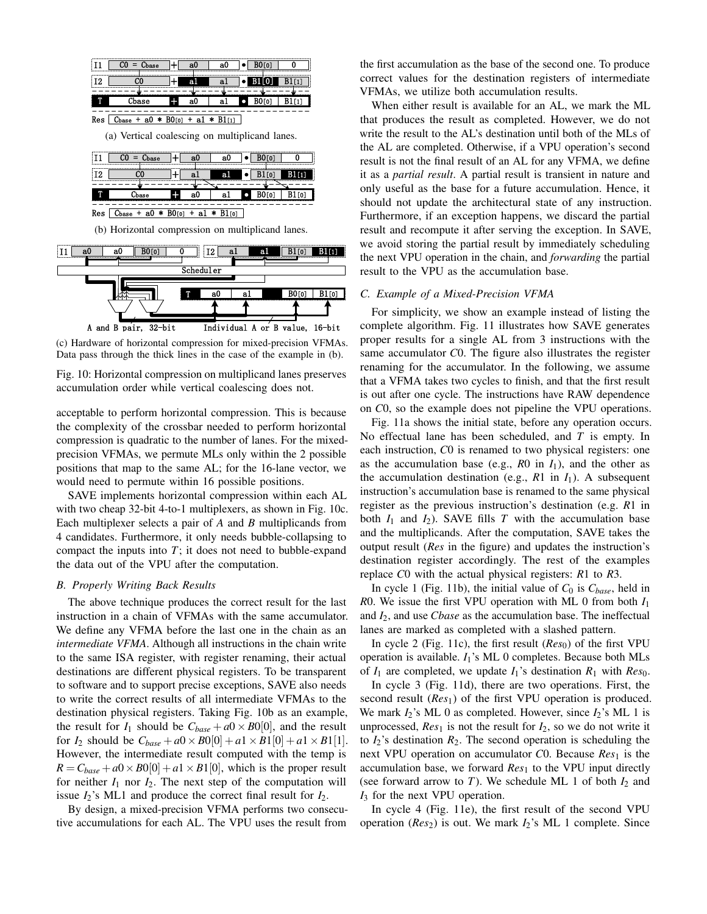

A and B pair, 32-bit Individual A or B value, 16-bit (c) Hardware of horizontal compression for mixed-precision VFMAs.

Data pass through the thick lines in the case of the example in (b).

Fig. 10: Horizontal compression on multiplicand lanes preserves accumulation order while vertical coalescing does not.

acceptable to perform horizontal compression. This is because the complexity of the crossbar needed to perform horizontal compression is quadratic to the number of lanes. For the mixedprecision VFMAs, we permute MLs only within the 2 possible positions that map to the same AL; for the 16-lane vector, we would need to permute within 16 possible positions.

SAVE implements horizontal compression within each AL with two cheap 32-bit 4-to-1 multiplexers, as shown in Fig. 10c. Each multiplexer selects a pair of *A* and *B* multiplicands from 4 candidates. Furthermore, it only needs bubble-collapsing to compact the inputs into  $T$ ; it does not need to bubble-expand the data out of the VPU after the computation.

# *B. Properly Writing Back Results*

The above technique produces the correct result for the last instruction in a chain of VFMAs with the same accumulator. We define any VFMA before the last one in the chain as an *intermediate VFMA*. Although all instructions in the chain write to the same ISA register, with register renaming, their actual destinations are different physical registers. To be transparent to software and to support precise exceptions, SAVE also needs to write the correct results of all intermediate VFMAs to the destination physical registers. Taking Fig. 10b as an example, the result for  $I_1$  should be  $C_{base} + a0 \times B0[0]$ , and the result for *I*<sub>2</sub> should be  $C_{base} + a0 \times B0[0] + a1 \times B1[0] + a1 \times B1[1]$ . However, the intermediate result computed with the temp is  $R = C_{base} + a0 \times B0[0] + a1 \times B1[0]$ , which is the proper result for neither  $I_1$  nor  $I_2$ . The next step of the computation will issue  $I_2$ 's ML1 and produce the correct final result for  $I_2$ .

By design, a mixed-precision VFMA performs two consecutive accumulations for each AL. The VPU uses the result from

the first accumulation as the base of the second one. To produce correct values for the destination registers of intermediate VFMAs, we utilize both accumulation results.

When either result is available for an AL, we mark the ML that produces the result as completed. However, we do not write the result to the AL's destination until both of the MLs of the AL are completed. Otherwise, if a VPU operation's second result is not the final result of an AL for any VFMA, we define it as a *partial result*. A partial result is transient in nature and only useful as the base for a future accumulation. Hence, it should not update the architectural state of any instruction. Furthermore, if an exception happens, we discard the partial result and recompute it after serving the exception. In SAVE, we avoid storing the partial result by immediately scheduling the next VPU operation in the chain, and *forwarding* the partial result to the VPU as the accumulation base.

#### *C. Example of a Mixed-Precision VFMA*

For simplicity, we show an example instead of listing the complete algorithm. Fig. 11 illustrates how SAVE generates proper results for a single AL from 3 instructions with the same accumulator *C*0. The figure also illustrates the register renaming for the accumulator. In the following, we assume that a VFMA takes two cycles to finish, and that the first result is out after one cycle. The instructions have RAW dependence on *C*0, so the example does not pipeline the VPU operations.

Fig. 11a shows the initial state, before any operation occurs. No effectual lane has been scheduled, and *T* is empty. In each instruction, *C*0 is renamed to two physical registers: one as the accumulation base (e.g.,  $R0$  in  $I_1$ ), and the other as the accumulation destination (e.g.,  $R1$  in  $I_1$ ). A subsequent instruction's accumulation base is renamed to the same physical register as the previous instruction's destination (e.g. *R*1 in both  $I_1$  and  $I_2$ ). SAVE fills  $T$  with the accumulation base and the multiplicands. After the computation, SAVE takes the output result (*Res* in the figure) and updates the instruction's destination register accordingly. The rest of the examples replace *C*0 with the actual physical registers: *R*1 to *R*3.

In cycle 1 (Fig. 11b), the initial value of  $C_0$  is  $C_{base}$ , held in *R*0. We issue the first VPU operation with ML 0 from both *I*<sup>1</sup> and *I*2, and use *Cbase* as the accumulation base. The ineffectual lanes are marked as completed with a slashed pattern.

In cycle 2 (Fig. 11c), the first result  $(Res_0)$  of the first VPU operation is available. *I*1's ML 0 completes. Because both MLs of  $I_1$  are completed, we update  $I_1$ 's destination  $R_1$  with  $Res_0$ .

In cycle 3 (Fig. 11d), there are two operations. First, the second result (*Res*1) of the first VPU operation is produced. We mark *I*2's ML 0 as completed. However, since *I*2's ML 1 is unprocessed,  $Res_1$  is not the result for  $I_2$ , so we do not write it to  $I_2$ 's destination  $R_2$ . The second operation is scheduling the next VPU operation on accumulator *C*0. Because *Res*<sub>1</sub> is the accumulation base, we forward *Res*<sup>1</sup> to the VPU input directly (see forward arrow to  $T$ ). We schedule ML 1 of both  $I_2$  and *I*<sup>3</sup> for the next VPU operation.

In cycle 4 (Fig. 11e), the first result of the second VPU operation (*Res*2) is out. We mark *I*2's ML 1 complete. Since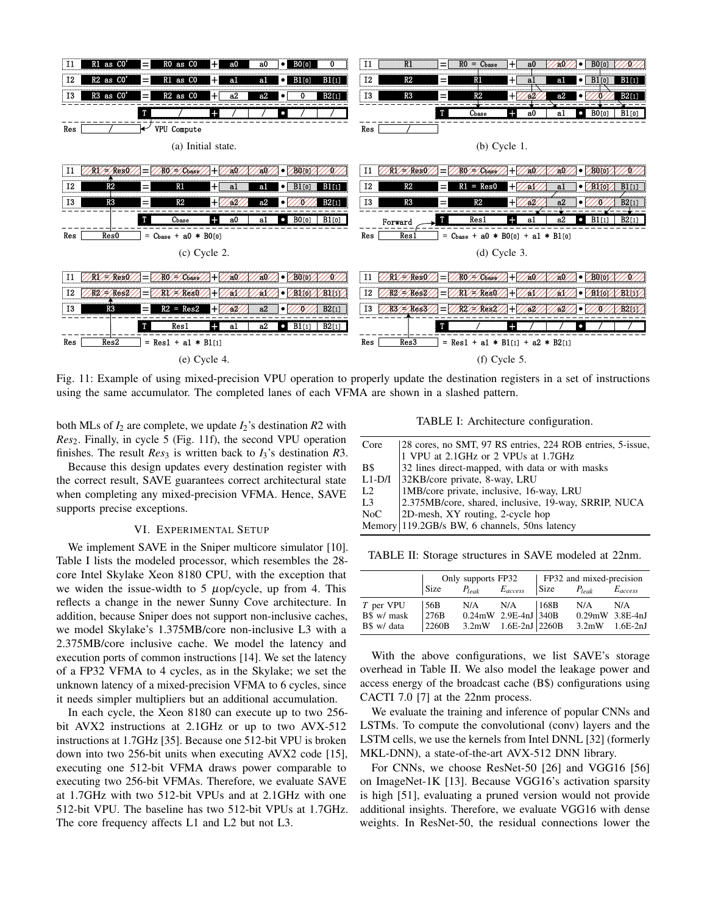

Fig. 11: Example of using mixed-precision VPU operation to properly update the destination registers in a set of instructions using the same accumulator. The completed lanes of each VFMA are shown in a slashed pattern.

both MLs of  $I_2$  are complete, we update  $I_2$ 's destination  $R2$  with *Res*2. Finally, in cycle 5 (Fig. 11f), the second VPU operation finishes. The result  $Res_3$  is written back to  $I_3$ 's destination R3.

Because this design updates every destination register with the correct result, SAVE guarantees correct architectural state when completing any mixed-precision VFMA. Hence, SAVE supports precise exceptions.

#### VI. EXPERIMENTAL SETUP

We implement SAVE in the Sniper multicore simulator [10]. Table I lists the modeled processor, which resembles the 28 core Intel Skylake Xeon 8180 CPU, with the exception that we widen the issue-width to  $5 \mu$ op/cycle, up from 4. This reflects a change in the newer Sunny Cove architecture. In addition, because Sniper does not support non-inclusive caches, we model Skylake's 1.375MB/core non-inclusive L3 with a 2.375MB/core inclusive cache. We model the latency and execution ports of common instructions [14]. We set the latency of a FP32 VFMA to 4 cycles, as in the Skylake; we set the unknown latency of a mixed-precision VFMA to 6 cycles, since it needs simpler multipliers but an additional accumulation.

In each cycle, the Xeon 8180 can execute up to two 256 bit AVX2 instructions at 2.1GHz or up to two AVX-512 instructions at 1.7GHz [35]. Because one 512-bit VPU is broken down into two 256-bit units when executing AVX2 code [15], executing one 512-bit VFMA draws power comparable to executing two 256-bit VFMAs. Therefore, we evaluate SAVE at 1.7GHz with two 512-bit VPUs and at 2.1GHz with one 512-bit VPU. The baseline has two 512-bit VPUs at 1.7GHz. The core frequency affects L1 and L2 but not L3.

TABLE I: Architecture configuration.

| Core           | 28 cores, no SMT, 97 RS entries, 224 ROB entries, 5-issue, |
|----------------|------------------------------------------------------------|
|                | 1 VPU at 2.1GHz or 2 VPUs at 1.7GHz                        |
| B\$            | 32 lines direct-mapped, with data or with masks            |
| $L1-D/I$       | 32KB/core private, 8-way, LRU                              |
| L2             | 1MB/core private, inclusive, 16-way, LRU                   |
| L <sub>3</sub> | 2.375MB/core, shared, inclusive, 19-way, SRRIP, NUCA       |
| NoC            | 2D-mesh, XY routing, 2-cycle hop                           |
|                | Memory 119.2GB/s BW, 6 channels, 50ns latency              |
|                |                                                            |

TABLE II: Storage structures in SAVE modeled at 22nm.

|             |       | Only supports FP32      |                           | FP32 and mixed-precision |                                                                         |     |  |  |  |
|-------------|-------|-------------------------|---------------------------|--------------------------|-------------------------------------------------------------------------|-----|--|--|--|
|             | Size  | $P_{leak}$ $E_{access}$ |                           |                          | $\begin{array}{ccc} \n\text{Size} & P_{leak} & E_{access}\n\end{array}$ |     |  |  |  |
| T per VPU   | 156B  |                         | $N/A$ $N/A$ $168B$        |                          | N/A                                                                     | N/A |  |  |  |
| B\$ w/ mask | 276B  |                         | 0.24mW 2.9E-4nJ 340B      |                          | $0.29$ mW $3.8E-4nJ$                                                    |     |  |  |  |
| B\$ w/ data | 2260B |                         | $3.2$ mW $1.6E-2nJ$ 2260B |                          | $3.2mW$ $1.6E-2nJ$                                                      |     |  |  |  |

With the above configurations, we list SAVE's storage overhead in Table II. We also model the leakage power and access energy of the broadcast cache (B\$) configurations using CACTI 7.0 [7] at the 22nm process.

We evaluate the training and inference of popular CNNs and LSTMs. To compute the convolutional (conv) layers and the LSTM cells, we use the kernels from Intel DNNL [32] (formerly MKL-DNN), a state-of-the-art AVX-512 DNN library.

For CNNs, we choose ResNet-50 [26] and VGG16 [56] on ImageNet-1K [13]. Because VGG16's activation sparsity is high [51], evaluating a pruned version would not provide additional insights. Therefore, we evaluate VGG16 with dense weights. In ResNet-50, the residual connections lower the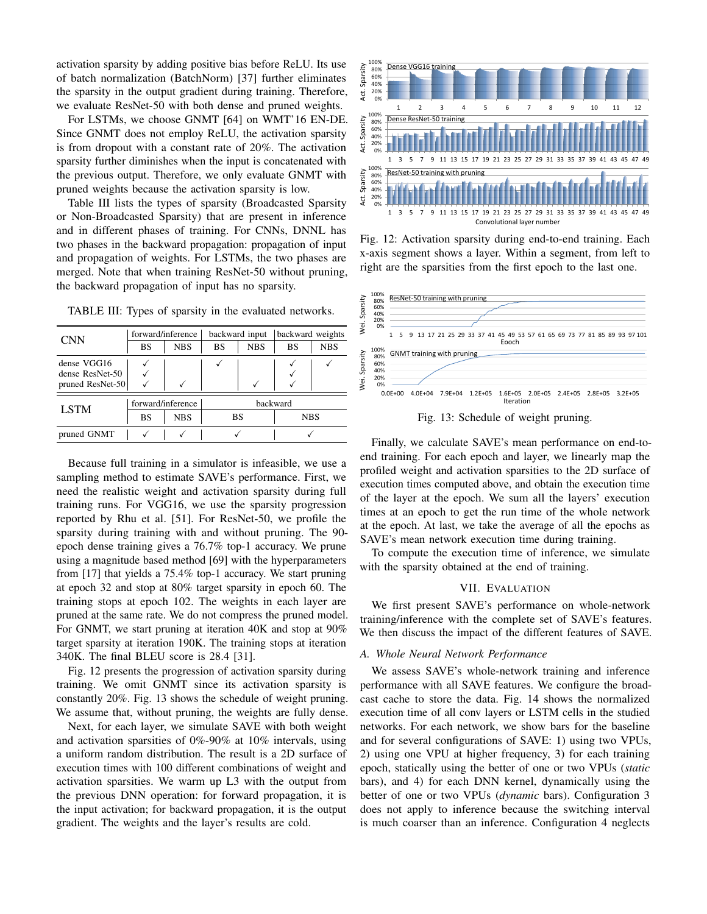activation sparsity by adding positive bias before ReLU. Its use of batch normalization (BatchNorm) [37] further eliminates the sparsity in the output gradient during training. Therefore, we evaluate ResNet-50 with both dense and pruned weights.

For LSTMs, we choose GNMT [64] on WMT'16 EN-DE. Since GNMT does not employ ReLU, the activation sparsity is from dropout with a constant rate of 20%. The activation sparsity further diminishes when the input is concatenated with the previous output. Therefore, we only evaluate GNMT with pruned weights because the activation sparsity is low.

Table III lists the types of sparsity (Broadcasted Sparsity or Non-Broadcasted Sparsity) that are present in inference and in different phases of training. For CNNs, DNNL has two phases in the backward propagation: propagation of input and propagation of weights. For LSTMs, the two phases are merged. Note that when training ResNet-50 without pruning, the backward propagation of input has no sparsity.

TABLE III: Types of sparsity in the evaluated networks.

| <b>CNN</b>       |           | forward/inference |           | backward input | backward weights |            |  |
|------------------|-----------|-------------------|-----------|----------------|------------------|------------|--|
|                  | <b>BS</b> | <b>NBS</b>        | <b>BS</b> | <b>NBS</b>     | <b>BS</b>        | <b>NBS</b> |  |
| dense VGG16      |           |                   |           |                |                  |            |  |
| dense ResNet-50  |           |                   |           |                |                  |            |  |
| pruned ResNet-50 |           |                   |           |                |                  |            |  |
| <b>LSTM</b>      |           | forward/inference |           |                | backward         |            |  |
|                  | <b>BS</b> | <b>NBS</b>        |           | BS             |                  | <b>NBS</b> |  |
| pruned GNMT      |           |                   |           |                |                  |            |  |

Because full training in a simulator is infeasible, we use a sampling method to estimate SAVE's performance. First, we need the realistic weight and activation sparsity during full training runs. For VGG16, we use the sparsity progression reported by Rhu et al. [51]. For ResNet-50, we profile the sparsity during training with and without pruning. The 90 epoch dense training gives a 76.7% top-1 accuracy. We prune using a magnitude based method [69] with the hyperparameters from [17] that yields a 75.4% top-1 accuracy. We start pruning at epoch 32 and stop at 80% target sparsity in epoch 60. The training stops at epoch 102. The weights in each layer are pruned at the same rate. We do not compress the pruned model. For GNMT, we start pruning at iteration 40K and stop at 90% target sparsity at iteration 190K. The training stops at iteration 340K. The final BLEU score is 28.4 [31].

Fig. 12 presents the progression of activation sparsity during training. We omit GNMT since its activation sparsity is constantly 20%. Fig. 13 shows the schedule of weight pruning. We assume that, without pruning, the weights are fully dense.

Next, for each layer, we simulate SAVE with both weight and activation sparsities of 0%-90% at 10% intervals, using a uniform random distribution. The result is a 2D surface of execution times with 100 different combinations of weight and activation sparsities. We warm up L3 with the output from the previous DNN operation: for forward propagation, it is the input activation; for backward propagation, it is the output gradient. The weights and the layer's results are cold.



Fig. 12: Activation sparsity during end-to-end training. Each x-axis segment shows a layer. Within a segment, from left to right are the sparsities from the first epoch to the last one.



Fig. 13: Schedule of weight pruning.

Finally, we calculate SAVE's mean performance on end-toend training. For each epoch and layer, we linearly map the profiled weight and activation sparsities to the 2D surface of execution times computed above, and obtain the execution time of the layer at the epoch. We sum all the layers' execution times at an epoch to get the run time of the whole network at the epoch. At last, we take the average of all the epochs as SAVE's mean network execution time during training.

To compute the execution time of inference, we simulate with the sparsity obtained at the end of training.

# VII. EVALUATION

We first present SAVE's performance on whole-network training/inference with the complete set of SAVE's features. We then discuss the impact of the different features of SAVE.

## *A. Whole Neural Network Performance*

We assess SAVE's whole-network training and inference performance with all SAVE features. We configure the broadcast cache to store the data. Fig. 14 shows the normalized execution time of all conv layers or LSTM cells in the studied networks. For each network, we show bars for the baseline and for several configurations of SAVE: 1) using two VPUs, 2) using one VPU at higher frequency, 3) for each training epoch, statically using the better of one or two VPUs (*static* bars), and 4) for each DNN kernel, dynamically using the better of one or two VPUs (*dynamic* bars). Configuration 3 does not apply to inference because the switching interval is much coarser than an inference. Configuration 4 neglects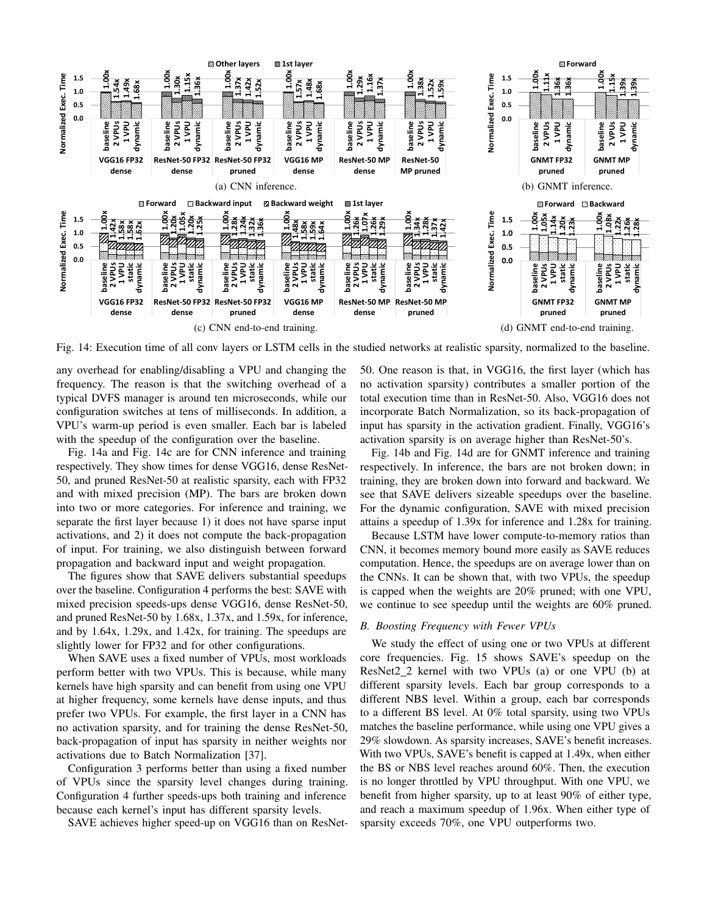

Fig. 14: Execution time of all conv layers or LSTM cells in the studied networks at realistic sparsity, normalized to the baseline.

any overhead for enabling/disabling a VPU and changing the frequency. The reason is that the switching overhead of a typical DVFS manager is around ten microseconds, while our configuration switches at tens of milliseconds. In addition, a VPU's warm-up period is even smaller. Each bar is labeled with the speedup of the configuration over the baseline.

Fig. 14a and Fig. 14c are for CNN inference and training respectively. They show times for dense VGG16, dense ResNet-50, and pruned ResNet-50 at realistic sparsity, each with FP32 and with mixed precision (MP). The bars are broken down into two or more categories. For inference and training, we separate the first layer because 1) it does not have sparse input activations, and 2) it does not compute the back-propagation of input. For training, we also distinguish between forward propagation and backward input and weight propagation.

The figures show that SAVE delivers substantial speedups over the baseline. Configuration 4 performs the best: SAVE with mixed precision speeds-ups dense VGG16, dense ResNet-50, and pruned ResNet-50 by 1.68x, 1.37x, and 1.59x, for inference, and by 1.64x, 1.29x, and 1.42x, for training. The speedups are slightly lower for FP32 and for other configurations.

When SAVE uses a fixed number of VPUs, most workloads perform better with two VPUs. This is because, while many kernels have high sparsity and can benefit from using one VPU at higher frequency, some kernels have dense inputs, and thus prefer two VPUs. For example, the first layer in a CNN has no activation sparsity, and for training the dense ResNet-50, back-propagation of input has sparsity in neither weights nor activations due to Batch Normalization [37].

Configuration 3 performs better than using a fixed number of VPUs since the sparsity level changes during training. Configuration 4 further speeds-ups both training and inference because each kernel's input has different sparsity levels.

SAVE achieves higher speed-up on VGG16 than on ResNet-

50. One reason is that, in VGG16, the first layer (which has no activation sparsity) contributes a smaller portion of the total execution time than in ResNet-50. Also, VGG16 does not incorporate Batch Normalization, so its back-propagation of input has sparsity in the activation gradient. Finally, VGG16's activation sparsity is on average higher than ResNet-50's.

Fig. 14b and Fig. 14d are for GNMT inference and training respectively. In inference, the bars are not broken down; in training, they are broken down into forward and backward. We see that SAVE delivers sizeable speedups over the baseline. For the dynamic configuration, SAVE with mixed precision attains a speedup of 1.39x for inference and 1.28x for training.

Because LSTM have lower compute-to-memory ratios than CNN, it becomes memory bound more easily as SAVE reduces computation. Hence, the speedups are on average lower than on the CNNs. It can be shown that, with two VPUs, the speedup is capped when the weights are 20% pruned; with one VPU, we continue to see speedup until the weights are 60% pruned.

## *B. Boosting Frequency with Fewer VPUs*

We study the effect of using one or two VPUs at different core frequencies. Fig. 15 shows SAVE's speedup on the ResNet2\_2 kernel with two VPUs (a) or one VPU (b) at different sparsity levels. Each bar group corresponds to a different NBS level. Within a group, each bar corresponds to a different BS level. At 0% total sparsity, using two VPUs matches the baseline performance, while using one VPU gives a 29% slowdown. As sparsity increases, SAVE's benefit increases. With two VPUs, SAVE's benefit is capped at 1.49x, when either the BS or NBS level reaches around 60%. Then, the execution is no longer throttled by VPU throughput. With one VPU, we benefit from higher sparsity, up to at least 90% of either type, and reach a maximum speedup of 1.96x. When either type of sparsity exceeds 70%, one VPU outperforms two.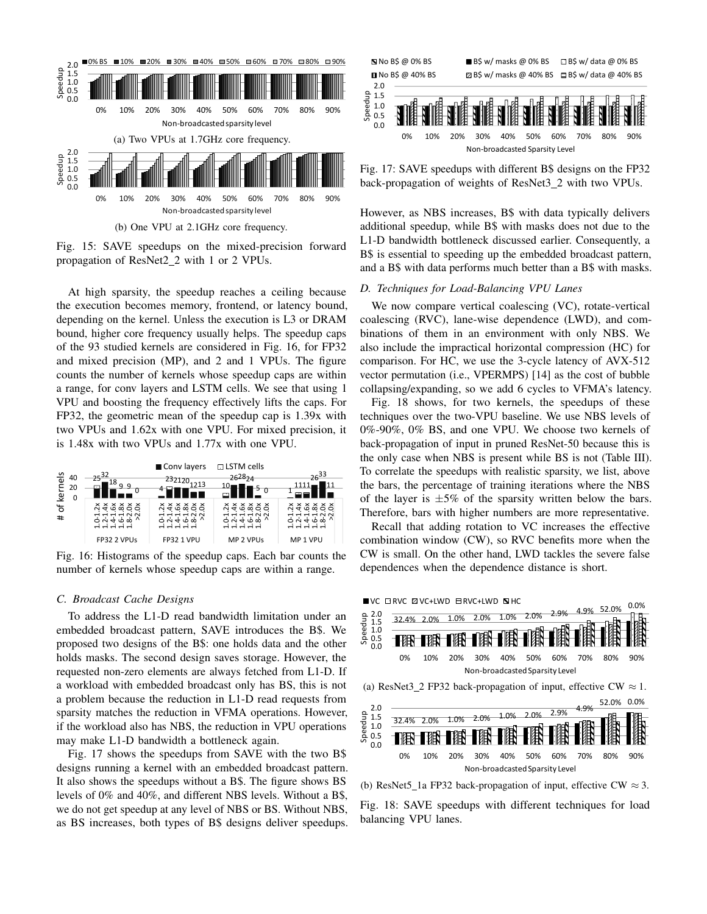

Fig. 15: SAVE speedups on the mixed-precision forward propagation of ResNet2\_2 with 1 or 2 VPUs.

At high sparsity, the speedup reaches a ceiling because the execution becomes memory, frontend, or latency bound, depending on the kernel. Unless the execution is L3 or DRAM bound, higher core frequency usually helps. The speedup caps of the 93 studied kernels are considered in Fig. 16, for FP32 and mixed precision (MP), and 2 and 1 VPUs. The figure counts the number of kernels whose speedup caps are within a range, for conv layers and LSTM cells. We see that using 1 VPU and boosting the frequency effectively lifts the caps. For FP32, the geometric mean of the speedup cap is 1.39x with two VPUs and 1.62x with one VPU. For mixed precision, it is 1.48x with two VPUs and 1.77x with one VPU.



Fig. 16: Histograms of the speedup caps. Each bar counts the number of kernels whose speedup caps are within a range.

#### *C. Broadcast Cache Designs*

To address the L1-D read bandwidth limitation under an embedded broadcast pattern, SAVE introduces the B\$. We proposed two designs of the B\$: one holds data and the other holds masks. The second design saves storage. However, the requested non-zero elements are always fetched from L1-D. If a workload with embedded broadcast only has BS, this is not a problem because the reduction in L1-D read requests from sparsity matches the reduction in VFMA operations. However, if the workload also has NBS, the reduction in VPU operations may make L1-D bandwidth a bottleneck again.

Fig. 17 shows the speedups from SAVE with the two B\$ designs running a kernel with an embedded broadcast pattern. It also shows the speedups without a B\$. The figure shows BS levels of 0% and 40%, and different NBS levels. Without a B\$, we do not get speedup at any level of NBS or BS. Without NBS, as BS increases, both types of B\$ designs deliver speedups.



Fig. 17: SAVE speedups with different B\$ designs on the FP32 back-propagation of weights of ResNet3\_2 with two VPUs.

However, as NBS increases, B\$ with data typically delivers additional speedup, while B\$ with masks does not due to the L1-D bandwidth bottleneck discussed earlier. Consequently, a B\$ is essential to speeding up the embedded broadcast pattern, and a B\$ with data performs much better than a B\$ with masks.

## *D. Techniques for Load-Balancing VPU Lanes*

We now compare vertical coalescing (VC), rotate-vertical coalescing (RVC), lane-wise dependence (LWD), and combinations of them in an environment with only NBS. We also include the impractical horizontal compression (HC) for comparison. For HC, we use the 3-cycle latency of AVX-512 vector permutation (i.e., VPERMPS) [14] as the cost of bubble collapsing/expanding, so we add 6 cycles to VFMA's latency.

Fig. 18 shows, for two kernels, the speedups of these techniques over the two-VPU baseline. We use NBS levels of 0%-90%, 0% BS, and one VPU. We choose two kernels of back-propagation of input in pruned ResNet-50 because this is the only case when NBS is present while BS is not (Table III). To correlate the speedups with realistic sparsity, we list, above the bars, the percentage of training iterations where the NBS of the layer is  $\pm 5\%$  of the sparsity written below the bars. Therefore, bars with higher numbers are more representative.

Recall that adding rotation to VC increases the effective combination window (CW), so RVC benefits more when the CW is small. On the other hand, LWD tackles the severe false dependences when the dependence distance is short.



(b) ResNet5\_1a FP32 back-propagation of input, effective CW  $\approx$  3.

Fig. 18: SAVE speedups with different techniques for load balancing VPU lanes.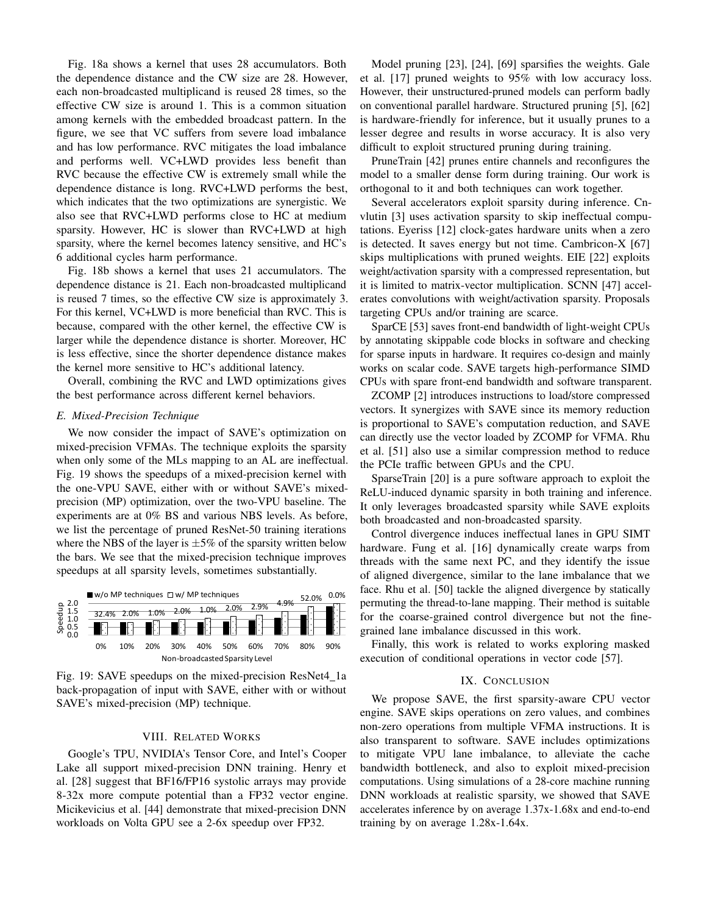Fig. 18a shows a kernel that uses 28 accumulators. Both the dependence distance and the CW size are 28. However, each non-broadcasted multiplicand is reused 28 times, so the effective CW size is around 1. This is a common situation among kernels with the embedded broadcast pattern. In the figure, we see that VC suffers from severe load imbalance and has low performance. RVC mitigates the load imbalance and performs well. VC+LWD provides less benefit than RVC because the effective CW is extremely small while the dependence distance is long. RVC+LWD performs the best, which indicates that the two optimizations are synergistic. We also see that RVC+LWD performs close to HC at medium sparsity. However, HC is slower than RVC+LWD at high sparsity, where the kernel becomes latency sensitive, and HC's 6 additional cycles harm performance.

Fig. 18b shows a kernel that uses 21 accumulators. The dependence distance is 21. Each non-broadcasted multiplicand is reused 7 times, so the effective CW size is approximately 3. For this kernel, VC+LWD is more beneficial than RVC. This is because, compared with the other kernel, the effective CW is larger while the dependence distance is shorter. Moreover, HC is less effective, since the shorter dependence distance makes the kernel more sensitive to HC's additional latency.

Overall, combining the RVC and LWD optimizations gives the best performance across different kernel behaviors.

## *E. Mixed-Precision Technique*

We now consider the impact of SAVE's optimization on mixed-precision VFMAs. The technique exploits the sparsity when only some of the MLs mapping to an AL are ineffectual. Fig. 19 shows the speedups of a mixed-precision kernel with the one-VPU SAVE, either with or without SAVE's mixedprecision (MP) optimization, over the two-VPU baseline. The experiments are at 0% BS and various NBS levels. As before, we list the percentage of pruned ResNet-50 training iterations where the NBS of the layer is  $\pm 5\%$  of the sparsity written below the bars. We see that the mixed-precision technique improves speedups at all sparsity levels, sometimes substantially.



Fig. 19: SAVE speedups on the mixed-precision ResNet4 1a back-propagation of input with SAVE, either with or without SAVE's mixed-precision (MP) technique.

# VIII. RELATED WORKS

Google's TPU, NVIDIA's Tensor Core, and Intel's Cooper Lake all support mixed-precision DNN training. Henry et al. [28] suggest that BF16/FP16 systolic arrays may provide 8-32x more compute potential than a FP32 vector engine. Micikevicius et al. [44] demonstrate that mixed-precision DNN workloads on Volta GPU see a 2-6x speedup over FP32.

Model pruning [23], [24], [69] sparsifies the weights. Gale et al. [17] pruned weights to 95% with low accuracy loss. However, their unstructured-pruned models can perform badly on conventional parallel hardware. Structured pruning [5], [62] is hardware-friendly for inference, but it usually prunes to a lesser degree and results in worse accuracy. It is also very difficult to exploit structured pruning during training.

PruneTrain [42] prunes entire channels and reconfigures the model to a smaller dense form during training. Our work is orthogonal to it and both techniques can work together.

Several accelerators exploit sparsity during inference. Cnvlutin [3] uses activation sparsity to skip ineffectual computations. Eyeriss [12] clock-gates hardware units when a zero is detected. It saves energy but not time. Cambricon-X [67] skips multiplications with pruned weights. EIE [22] exploits weight/activation sparsity with a compressed representation, but it is limited to matrix-vector multiplication. SCNN [47] accelerates convolutions with weight/activation sparsity. Proposals targeting CPUs and/or training are scarce.

SparCE [53] saves front-end bandwidth of light-weight CPUs by annotating skippable code blocks in software and checking for sparse inputs in hardware. It requires co-design and mainly works on scalar code. SAVE targets high-performance SIMD CPUs with spare front-end bandwidth and software transparent.

ZCOMP [2] introduces instructions to load/store compressed vectors. It synergizes with SAVE since its memory reduction is proportional to SAVE's computation reduction, and SAVE can directly use the vector loaded by ZCOMP for VFMA. Rhu et al. [51] also use a similar compression method to reduce the PCIe traffic between GPUs and the CPU.

SparseTrain [20] is a pure software approach to exploit the ReLU-induced dynamic sparsity in both training and inference. It only leverages broadcasted sparsity while SAVE exploits both broadcasted and non-broadcasted sparsity.

Control divergence induces ineffectual lanes in GPU SIMT hardware. Fung et al. [16] dynamically create warps from threads with the same next PC, and they identify the issue of aligned divergence, similar to the lane imbalance that we face. Rhu et al. [50] tackle the aligned divergence by statically permuting the thread-to-lane mapping. Their method is suitable for the coarse-grained control divergence but not the finegrained lane imbalance discussed in this work.

Finally, this work is related to works exploring masked execution of conditional operations in vector code [57].

## IX. CONCLUSION

We propose SAVE, the first sparsity-aware CPU vector engine. SAVE skips operations on zero values, and combines non-zero operations from multiple VFMA instructions. It is also transparent to software. SAVE includes optimizations to mitigate VPU lane imbalance, to alleviate the cache bandwidth bottleneck, and also to exploit mixed-precision computations. Using simulations of a 28-core machine running DNN workloads at realistic sparsity, we showed that SAVE accelerates inference by on average 1.37x-1.68x and end-to-end training by on average 1.28x-1.64x.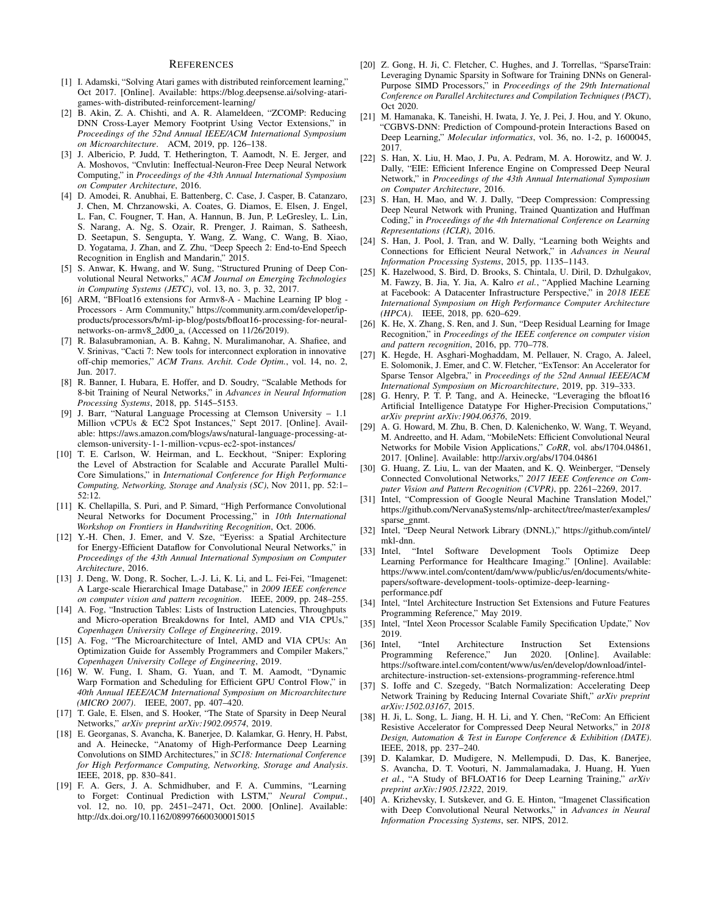#### **REFERENCES**

- [1] I. Adamski, "Solving Atari games with distributed reinforcement learning," Oct 2017. [Online]. Available: https://blog.deepsense.ai/solving-atarigames-with-distributed-reinforcement-learning/
- [2] B. Akin, Z. A. Chishti, and A. R. Alameldeen, "ZCOMP: Reducing DNN Cross-Layer Memory Footprint Using Vector Extensions," in *Proceedings of the 52nd Annual IEEE/ACM International Symposium on Microarchitecture*. ACM, 2019, pp. 126–138.
- [3] J. Albericio, P. Judd, T. Hetherington, T. Aamodt, N. E. Jerger, and A. Moshovos, "Cnvlutin: Ineffectual-Neuron-Free Deep Neural Network Computing," in *Proceedings of the 43th Annual International Symposium on Computer Architecture*, 2016.
- [4] D. Amodei, R. Anubhai, E. Battenberg, C. Case, J. Casper, B. Catanzaro, J. Chen, M. Chrzanowski, A. Coates, G. Diamos, E. Elsen, J. Engel, L. Fan, C. Fougner, T. Han, A. Hannun, B. Jun, P. LeGresley, L. Lin, S. Narang, A. Ng, S. Ozair, R. Prenger, J. Raiman, S. Satheesh, D. Seetapun, S. Sengupta, Y. Wang, Z. Wang, C. Wang, B. Xiao, D. Yogatama, J. Zhan, and Z. Zhu, "Deep Speech 2: End-to-End Speech Recognition in English and Mandarin," 2015.
- [5] S. Anwar, K. Hwang, and W. Sung, "Structured Pruning of Deep Convolutional Neural Networks," *ACM Journal on Emerging Technologies in Computing Systems (JETC)*, vol. 13, no. 3, p. 32, 2017.
- [6] ARM, "BFloat16 extensions for Armv8-A Machine Learning IP blog Processors - Arm Community," https://community.arm.com/developer/ipproducts/processors/b/ml-ip-blog/posts/bfloat16-processing-for-neuralnetworks-on-armv8\_2d00\_a, (Accessed on 11/26/2019).
- [7] R. Balasubramonian, A. B. Kahng, N. Muralimanohar, A. Shafiee, and V. Srinivas, "Cacti 7: New tools for interconnect exploration in innovative off-chip memories," *ACM Trans. Archit. Code Optim.*, vol. 14, no. 2, Jun. 2017.
- [8] R. Banner, I. Hubara, E. Hoffer, and D. Soudry, "Scalable Methods for 8-bit Training of Neural Networks," in *Advances in Neural Information Processing Systems*, 2018, pp. 5145–5153.
- [9] J. Barr, "Natural Language Processing at Clemson University 1.1 Million vCPUs & EC2 Spot Instances," Sept 2017. [Online]. Available: https://aws.amazon.com/blogs/aws/natural-language-processing-atclemson-university-1-1-million-vcpus-ec2-spot-instances/
- [10] T. E. Carlson, W. Heirman, and L. Eeckhout, "Sniper: Exploring the Level of Abstraction for Scalable and Accurate Parallel Multi-Core Simulations," in *International Conference for High Performance Computing, Networking, Storage and Analysis (SC)*, Nov 2011, pp. 52:1– 52:12.
- [11] K. Chellapilla, S. Puri, and P. Simard, "High Performance Convolutional Neural Networks for Document Processing," in *10th International Workshop on Frontiers in Handwriting Recognition*, Oct. 2006.
- [12] Y.-H. Chen, J. Emer, and V. Sze, "Eyeriss: a Spatial Architecture for Energy-Efficient Dataflow for Convolutional Neural Networks," in *Proceedings of the 43th Annual International Symposium on Computer Architecture*, 2016.
- [13] J. Deng, W. Dong, R. Socher, L.-J. Li, K. Li, and L. Fei-Fei, "Imagenet: A Large-scale Hierarchical Image Database," in *2009 IEEE conference on computer vision and pattern recognition*. IEEE, 2009, pp. 248–255.
- [14] A. Fog, "Instruction Tables: Lists of Instruction Latencies, Throughputs and Micro-operation Breakdowns for Intel, AMD and VIA CPUs," *Copenhagen University College of Engineering*, 2019.
- [15] A. Fog, "The Microarchitecture of Intel, AMD and VIA CPUs: An Optimization Guide for Assembly Programmers and Compiler Makers,' *Copenhagen University College of Engineering*, 2019.
- [16] W. W. Fung, I. Sham, G. Yuan, and T. M. Aamodt, "Dynamic Warp Formation and Scheduling for Efficient GPU Control Flow," in *40th Annual IEEE/ACM International Symposium on Microarchitecture (MICRO 2007)*. IEEE, 2007, pp. 407–420.
- [17] T. Gale, E. Elsen, and S. Hooker, "The State of Sparsity in Deep Neural Networks," *arXiv preprint arXiv:1902.09574*, 2019.
- [18] E. Georganas, S. Avancha, K. Banerjee, D. Kalamkar, G. Henry, H. Pabst, and A. Heinecke, "Anatomy of High-Performance Deep Learning Convolutions on SIMD Architectures," in *SC18: International Conference for High Performance Computing, Networking, Storage and Analysis*. IEEE, 2018, pp. 830–841.
- [19] F. A. Gers, J. A. Schmidhuber, and F. A. Cummins, "Learning to Forget: Continual Prediction with LSTM," *Neural Comput.*, vol. 12, no. 10, pp. 2451–2471, Oct. 2000. [Online]. Available: http://dx.doi.org/10.1162/089976600300015015
- [20] Z. Gong, H. Ji, C. Fletcher, C. Hughes, and J. Torrellas, "SparseTrain: Leveraging Dynamic Sparsity in Software for Training DNNs on General-Purpose SIMD Processors," in *Proceedings of the 29th International Conference on Parallel Architectures and Compilation Techniques (PACT)*, Oct 2020.
- [21] M. Hamanaka, K. Taneishi, H. Iwata, J. Ye, J. Pei, J. Hou, and Y. Okuno, "CGBVS-DNN: Prediction of Compound-protein Interactions Based on Deep Learning," *Molecular informatics*, vol. 36, no. 1-2, p. 1600045, 2017.
- [22] S. Han, X. Liu, H. Mao, J. Pu, A. Pedram, M. A. Horowitz, and W. J. Dally, "EIE: Efficient Inference Engine on Compressed Deep Neural Network," in *Proceedings of the 43th Annual International Symposium on Computer Architecture*, 2016.
- [23] S. Han, H. Mao, and W. J. Dally, "Deep Compression: Compressing Deep Neural Network with Pruning, Trained Quantization and Huffman Coding," in *Proceedings of the 4th International Conference on Learning Representations (ICLR)*, 2016.
- [24] S. Han, J. Pool, J. Tran, and W. Dally, "Learning both Weights and Connections for Efficient Neural Network," in *Advances in Neural Information Processing Systems*, 2015, pp. 1135–1143.
- [25] K. Hazelwood, S. Bird, D. Brooks, S. Chintala, U. Diril, D. Dzhulgakov, M. Fawzy, B. Jia, Y. Jia, A. Kalro *et al.*, "Applied Machine Learning at Facebook: A Datacenter Infrastructure Perspective," in *2018 IEEE International Symposium on High Performance Computer Architecture (HPCA)*. IEEE, 2018, pp. 620–629.
- [26] K. He, X. Zhang, S. Ren, and J. Sun, "Deep Residual Learning for Image Recognition," in *Proceedings of the IEEE conference on computer vision and pattern recognition*, 2016, pp. 770–778.
- [27] K. Hegde, H. Asghari-Moghaddam, M. Pellauer, N. Crago, A. Jaleel, E. Solomonik, J. Emer, and C. W. Fletcher, "ExTensor: An Accelerator for Sparse Tensor Algebra," in *Proceedings of the 52nd Annual IEEE/ACM International Symposium on Microarchitecture*, 2019, pp. 319–333.
- [28] G. Henry, P. T. P. Tang, and A. Heinecke, "Leveraging the bfloat16 Artificial Intelligence Datatype For Higher-Precision Computations," *arXiv preprint arXiv:1904.06376*, 2019.
- [29] A. G. Howard, M. Zhu, B. Chen, D. Kalenichenko, W. Wang, T. Weyand, M. Andreetto, and H. Adam, "MobileNets: Efficient Convolutional Neural Networks for Mobile Vision Applications," *CoRR*, vol. abs/1704.04861, 2017. [Online]. Available: http://arxiv.org/abs/1704.04861
- [30] G. Huang, Z. Liu, L. van der Maaten, and K. Q. Weinberger, "Densely Connected Convolutional Networks," *2017 IEEE Conference on Computer Vision and Pattern Recognition (CVPR)*, pp. 2261–2269, 2017.
- [31] Intel, "Compression of Google Neural Machine Translation Model," https://github.com/NervanaSystems/nlp-architect/tree/master/examples/ sparse\_gnmt.
- [32] Intel, "Deep Neural Network Library (DNNL)," https://github.com/intel/ mkl-dnn.
- [33] Intel, "Intel Software Development Tools Optimize Deep Learning Performance for Healthcare Imaging." [Online]. Available: https://www.intel.com/content/dam/www/public/us/en/documents/whitepapers/software-development-tools-optimize-deep-learningperformance.pdf
- [34] Intel, "Intel Architecture Instruction Set Extensions and Future Features Programming Reference," May 2019.
- [35] Intel, "Intel Xeon Processor Scalable Family Specification Update," Nov 2019.
- [36] Intel, "Intel Architecture Instruction Set Extensions Programming Reference," Jun 2020. [Online]. Available: https://software.intel.com/content/www/us/en/develop/download/intelarchitecture-instruction-set-extensions-programming-reference.html
- [37] S. Ioffe and C. Szegedy, "Batch Normalization: Accelerating Deep Network Training by Reducing Internal Covariate Shift," *arXiv preprint arXiv:1502.03167*, 2015.
- [38] H. Ji, L. Song, L. Jiang, H. H. Li, and Y. Chen, "ReCom: An Efficient Resistive Accelerator for Compressed Deep Neural Networks," in *2018 Design, Automation & Test in Europe Conference & Exhibition (DATE)*. IEEE, 2018, pp. 237–240.
- [39] D. Kalamkar, D. Mudigere, N. Mellempudi, D. Das, K. Banerjee, S. Avancha, D. T. Vooturi, N. Jammalamadaka, J. Huang, H. Yuen *et al.*, "A Study of BFLOAT16 for Deep Learning Training," *arXiv preprint arXiv:1905.12322*, 2019.
- [40] A. Krizhevsky, I. Sutskever, and G. E. Hinton, "Imagenet Classification with Deep Convolutional Neural Networks," in *Advances in Neural Information Processing Systems*, ser. NIPS, 2012.